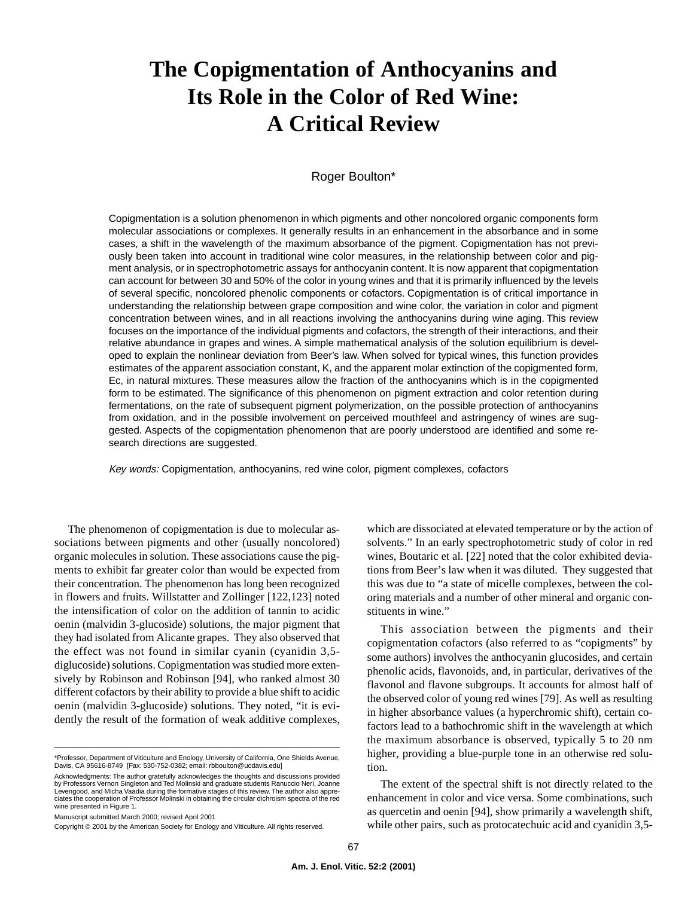# **The Copigmentation of Anthocyanins and Its Role in the Color of Red Wine: A Critical Review**

Roger Boulton\*

Copigmentation is a solution phenomenon in which pigments and other noncolored organic components form molecular associations or complexes. It generally results in an enhancement in the absorbance and in some cases, a shift in the wavelength of the maximum absorbance of the pigment. Copigmentation has not previously been taken into account in traditional wine color measures, in the relationship between color and pigment analysis, or in spectrophotometric assays for anthocyanin content. It is now apparent that copigmentation can account for between 30 and 50% of the color in young wines and that it is primarily influenced by the levels of several specific, noncolored phenolic components or cofactors. Copigmentation is of critical importance in understanding the relationship between grape composition and wine color, the variation in color and pigment concentration between wines, and in all reactions involving the anthocyanins during wine aging. This review focuses on the importance of the individual pigments and cofactors, the strength of their interactions, and their relative abundance in grapes and wines. A simple mathematical analysis of the solution equilibrium is developed to explain the nonlinear deviation from Beer's law. When solved for typical wines, this function provides estimates of the apparent association constant, K, and the apparent molar extinction of the copigmented form, Ec, in natural mixtures. These measures allow the fraction of the anthocyanins which is in the copigmented form to be estimated. The significance of this phenomenon on pigment extraction and color retention during fermentations, on the rate of subsequent pigment polymerization, on the possible protection of anthocyanins from oxidation, and in the possible involvement on perceived mouthfeel and astringency of wines are suggested. Aspects of the copigmentation phenomenon that are poorly understood are identified and some research directions are suggested.

Key words: Copigmentation, anthocyanins, red wine color, pigment complexes, cofactors

The phenomenon of copigmentation is due to molecular associations between pigments and other (usually noncolored) organic molecules in solution. These associations cause the pigments to exhibit far greater color than would be expected from their concentration. The phenomenon has long been recognized in flowers and fruits. Willstatter and Zollinger [122,123] noted the intensification of color on the addition of tannin to acidic oenin (malvidin 3-glucoside) solutions, the major pigment that they had isolated from Alicante grapes. They also observed that the effect was not found in similar cyanin (cyanidin 3,5 diglucoside) solutions. Copigmentation was studied more extensively by Robinson and Robinson [94], who ranked almost 30 different cofactors by their ability to provide a blue shift to acidic oenin (malvidin 3-glucoside) solutions. They noted, "it is evidently the result of the formation of weak additive complexes,

\*Professor, Department of Viticulture and Enology, University of California, One Shields Avenue, Davis, CA 95616-8749 [Fax: 530-752-0382; email: rbboulton@ucdavis.edu]

Acknowledgments: The author gratefully acknowledges the thoughts and discussions provided by Professors Vernon Singleton and Ted Molinski and graduate students Ranuccio Neri, Joanne<br>Levengood, and Micha Vaadia during the formative stages of this review. The author also appre-<br>ciates the cooperation of Professor wine presented in Figure 1.

Manuscript submitted March 2000; revised April 2001

Copyright © 2001 by the American Society for Enology and Viticulture. All rights reserved.

which are dissociated at elevated temperature or by the action of solvents." In an early spectrophotometric study of color in red wines, Boutaric et al. [22] noted that the color exhibited deviations from Beer's law when it was diluted. They suggested that this was due to "a state of micelle complexes, between the coloring materials and a number of other mineral and organic constituents in wine."

This association between the pigments and their copigmentation cofactors (also referred to as "copigments" by some authors) involves the anthocyanin glucosides, and certain phenolic acids, flavonoids, and, in particular, derivatives of the flavonol and flavone subgroups. It accounts for almost half of the observed color of young red wines [79]. As well as resulting in higher absorbance values (a hyperchromic shift), certain cofactors lead to a bathochromic shift in the wavelength at which the maximum absorbance is observed, typically 5 to 20 nm higher, providing a blue-purple tone in an otherwise red solution.

The extent of the spectral shift is not directly related to the enhancement in color and vice versa. Some combinations, such as quercetin and oenin [94], show primarily a wavelength shift, while other pairs, such as protocatechuic acid and cyanidin 3,5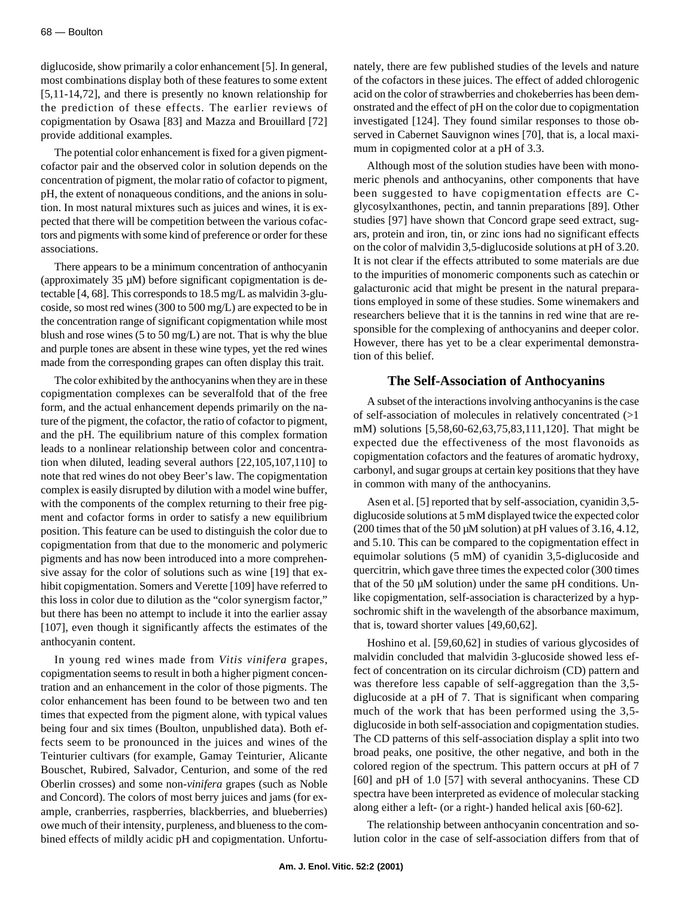diglucoside, show primarily a color enhancement [5]. In general, most combinations display both of these features to some extent [5,11-14,72], and there is presently no known relationship for the prediction of these effects. The earlier reviews of copigmentation by Osawa [83] and Mazza and Brouillard [72] provide additional examples.

The potential color enhancement is fixed for a given pigmentcofactor pair and the observed color in solution depends on the concentration of pigment, the molar ratio of cofactor to pigment, pH, the extent of nonaqueous conditions, and the anions in solution. In most natural mixtures such as juices and wines, it is expected that there will be competition between the various cofactors and pigments with some kind of preference or order for these associations.

There appears to be a minimum concentration of anthocyanin (approximately 35 µM) before significant copigmentation is detectable [4, 68]. This corresponds to 18.5 mg/L as malvidin 3-glucoside, so most red wines (300 to 500 mg/L) are expected to be in the concentration range of significant copigmentation while most blush and rose wines (5 to 50 mg/L) are not. That is why the blue and purple tones are absent in these wine types, yet the red wines made from the corresponding grapes can often display this trait.

The color exhibited by the anthocyanins when they are in these copigmentation complexes can be severalfold that of the free form, and the actual enhancement depends primarily on the nature of the pigment, the cofactor, the ratio of cofactor to pigment, and the pH. The equilibrium nature of this complex formation leads to a nonlinear relationship between color and concentration when diluted, leading several authors [22,105,107,110] to note that red wines do not obey Beer's law. The copigmentation complex is easily disrupted by dilution with a model wine buffer, with the components of the complex returning to their free pigment and cofactor forms in order to satisfy a new equilibrium position. This feature can be used to distinguish the color due to copigmentation from that due to the monomeric and polymeric pigments and has now been introduced into a more comprehensive assay for the color of solutions such as wine [19] that exhibit copigmentation. Somers and Verette [109] have referred to this loss in color due to dilution as the "color synergism factor," but there has been no attempt to include it into the earlier assay [107], even though it significantly affects the estimates of the anthocyanin content.

In young red wines made from *Vitis vinifera* grapes, copigmentation seems to result in both a higher pigment concentration and an enhancement in the color of those pigments. The color enhancement has been found to be between two and ten times that expected from the pigment alone, with typical values being four and six times (Boulton, unpublished data). Both effects seem to be pronounced in the juices and wines of the Teinturier cultivars (for example, Gamay Teinturier, Alicante Bouschet, Rubired, Salvador, Centurion, and some of the red Oberlin crosses) and some non-*vinifera* grapes (such as Noble and Concord). The colors of most berry juices and jams (for example, cranberries, raspberries, blackberries, and blueberries) owe much of their intensity, purpleness, and blueness to the combined effects of mildly acidic pH and copigmentation. Unfortunately, there are few published studies of the levels and nature of the cofactors in these juices. The effect of added chlorogenic acid on the color of strawberries and chokeberries has been demonstrated and the effect of pH on the color due to copigmentation investigated [124]. They found similar responses to those observed in Cabernet Sauvignon wines [70], that is, a local maximum in copigmented color at a pH of 3.3.

Although most of the solution studies have been with monomeric phenols and anthocyanins, other components that have been suggested to have copigmentation effects are Cglycosylxanthones, pectin, and tannin preparations [89]. Other studies [97] have shown that Concord grape seed extract, sugars, protein and iron, tin, or zinc ions had no significant effects on the color of malvidin 3,5-diglucoside solutions at pH of 3.20. It is not clear if the effects attributed to some materials are due to the impurities of monomeric components such as catechin or galacturonic acid that might be present in the natural preparations employed in some of these studies. Some winemakers and researchers believe that it is the tannins in red wine that are responsible for the complexing of anthocyanins and deeper color. However, there has yet to be a clear experimental demonstration of this belief.

#### **The Self-Association of Anthocyanins**

A subset of the interactions involving anthocyanins is the case of self-association of molecules in relatively concentrated (>1 mM) solutions [5,58,60-62,63,75,83,111,120]. That might be expected due the effectiveness of the most flavonoids as copigmentation cofactors and the features of aromatic hydroxy, carbonyl, and sugar groups at certain key positions that they have in common with many of the anthocyanins.

Asen et al. [5] reported that by self-association, cyanidin 3,5 diglucoside solutions at 5 mM displayed twice the expected color (200 times that of the 50 µM solution) at pH values of 3.16, 4.12, and 5.10. This can be compared to the copigmentation effect in equimolar solutions (5 mM) of cyanidin 3,5-diglucoside and quercitrin, which gave three times the expected color (300 times that of the 50 µM solution) under the same pH conditions. Unlike copigmentation, self-association is characterized by a hypsochromic shift in the wavelength of the absorbance maximum, that is, toward shorter values [49,60,62].

Hoshino et al. [59,60,62] in studies of various glycosides of malvidin concluded that malvidin 3-glucoside showed less effect of concentration on its circular dichroism (CD) pattern and was therefore less capable of self-aggregation than the 3,5 diglucoside at a pH of 7. That is significant when comparing much of the work that has been performed using the 3,5 diglucoside in both self-association and copigmentation studies. The CD patterns of this self-association display a split into two broad peaks, one positive, the other negative, and both in the colored region of the spectrum. This pattern occurs at pH of 7 [60] and pH of 1.0 [57] with several anthocyanins. These CD spectra have been interpreted as evidence of molecular stacking along either a left- (or a right-) handed helical axis [60-62].

The relationship between anthocyanin concentration and solution color in the case of self-association differs from that of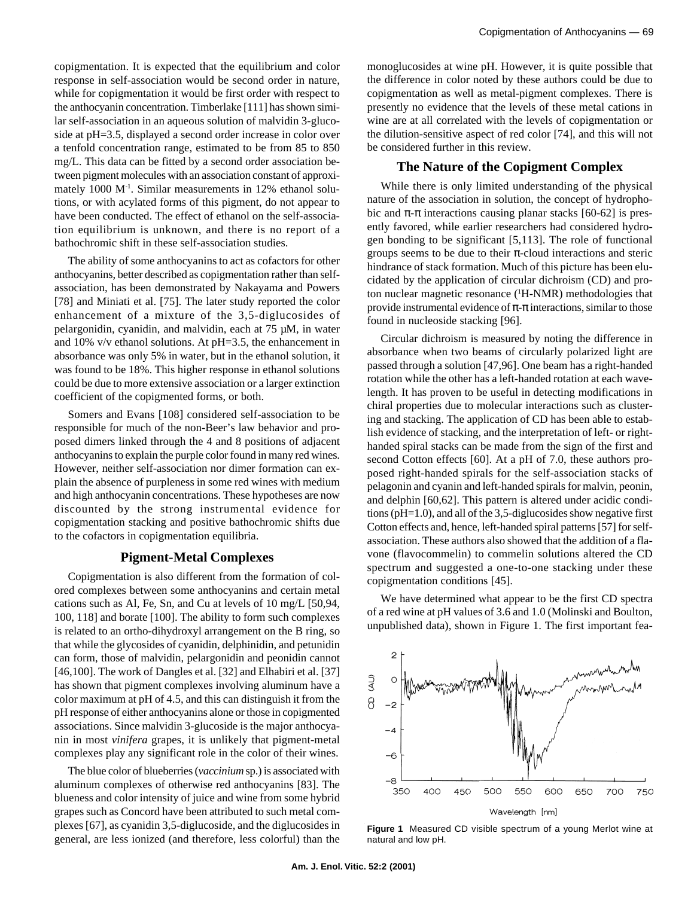copigmentation. It is expected that the equilibrium and color response in self-association would be second order in nature, while for copigmentation it would be first order with respect to the anthocyanin concentration. Timberlake [111] has shown similar self-association in an aqueous solution of malvidin 3-glucoside at pH=3.5, displayed a second order increase in color over a tenfold concentration range, estimated to be from 85 to 850 mg/L. This data can be fitted by a second order association between pigment molecules with an association constant of approximately 1000 M<sup>-1</sup>. Similar measurements in 12% ethanol solutions, or with acylated forms of this pigment, do not appear to have been conducted. The effect of ethanol on the self-association equilibrium is unknown, and there is no report of a bathochromic shift in these self-association studies.

The ability of some anthocyanins to act as cofactors for other anthocyanins, better described as copigmentation rather than selfassociation, has been demonstrated by Nakayama and Powers [78] and Miniati et al. [75]. The later study reported the color enhancement of a mixture of the 3,5-diglucosides of pelargonidin, cyanidin, and malvidin, each at 75 µM, in water and 10% v/v ethanol solutions. At pH=3.5, the enhancement in absorbance was only 5% in water, but in the ethanol solution, it was found to be 18%. This higher response in ethanol solutions could be due to more extensive association or a larger extinction coefficient of the copigmented forms, or both.

Somers and Evans [108] considered self-association to be responsible for much of the non-Beer's law behavior and proposed dimers linked through the 4 and 8 positions of adjacent anthocyanins to explain the purple color found in many red wines. However, neither self-association nor dimer formation can explain the absence of purpleness in some red wines with medium and high anthocyanin concentrations. These hypotheses are now discounted by the strong instrumental evidence for copigmentation stacking and positive bathochromic shifts due to the cofactors in copigmentation equilibria.

#### **Pigment-Metal Complexes**

Copigmentation is also different from the formation of colored complexes between some anthocyanins and certain metal cations such as Al, Fe, Sn, and Cu at levels of 10 mg/L [50,94, 100, 118] and borate [100]. The ability to form such complexes is related to an ortho-dihydroxyl arrangement on the B ring, so that while the glycosides of cyanidin, delphinidin, and petunidin can form, those of malvidin, pelargonidin and peonidin cannot [46,100]. The work of Dangles et al. [32] and Elhabiri et al. [37] has shown that pigment complexes involving aluminum have a color maximum at pH of 4.5, and this can distinguish it from the pH response of either anthocyanins alone or those in copigmented associations. Since malvidin 3-glucoside is the major anthocyanin in most *vinifera* grapes, it is unlikely that pigment-metal complexes play any significant role in the color of their wines.

The blue color of blueberries (*vaccinium* sp.) is associated with aluminum complexes of otherwise red anthocyanins [83]. The blueness and color intensity of juice and wine from some hybrid grapes such as Concord have been attributed to such metal complexes [67], as cyanidin 3,5-diglucoside, and the diglucosides in general, are less ionized (and therefore, less colorful) than the monoglucosides at wine pH. However, it is quite possible that the difference in color noted by these authors could be due to copigmentation as well as metal-pigment complexes. There is presently no evidence that the levels of these metal cations in wine are at all correlated with the levels of copigmentation or the dilution-sensitive aspect of red color [74], and this will not be considered further in this review.

## **The Nature of the Copigment Complex**

While there is only limited understanding of the physical nature of the association in solution, the concept of hydrophobic and  $\pi$ - $\pi$  interactions causing planar stacks [60-62] is presently favored, while earlier researchers had considered hydrogen bonding to be significant [5,113]. The role of functional groups seems to be due to their  $\pi$ -cloud interactions and steric hindrance of stack formation. Much of this picture has been elucidated by the application of circular dichroism (CD) and proton nuclear magnetic resonance (1 H-NMR) methodologies that provide instrumental evidence of  $\pi$ - $\pi$  interactions, similar to those found in nucleoside stacking [96].

Circular dichroism is measured by noting the difference in absorbance when two beams of circularly polarized light are passed through a solution [47,96]. One beam has a right-handed rotation while the other has a left-handed rotation at each wavelength. It has proven to be useful in detecting modifications in chiral properties due to molecular interactions such as clustering and stacking. The application of CD has been able to establish evidence of stacking, and the interpretation of left- or righthanded spiral stacks can be made from the sign of the first and second Cotton effects [60]. At a pH of 7.0, these authors proposed right-handed spirals for the self-association stacks of pelagonin and cyanin and left-handed spirals for malvin, peonin, and delphin [60,62]. This pattern is altered under acidic conditions (pH=1.0), and all of the 3,5-diglucosides show negative first Cotton effects and, hence, left-handed spiral patterns [57] for selfassociation. These authors also showed that the addition of a flavone (flavocommelin) to commelin solutions altered the CD spectrum and suggested a one-to-one stacking under these copigmentation conditions [45].

We have determined what appear to be the first CD spectra of a red wine at pH values of 3.6 and 1.0 (Molinski and Boulton, unpublished data), shown in Figure 1. The first important fea-



**Figure 1** Measured CD visible spectrum of a young Merlot wine at natural and low pH.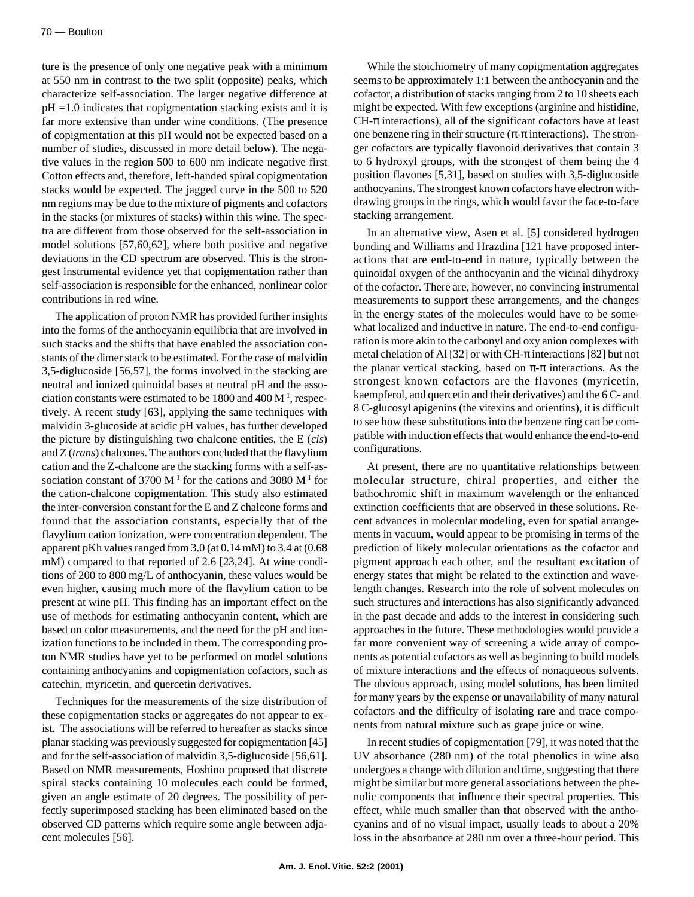ture is the presence of only one negative peak with a minimum at 550 nm in contrast to the two split (opposite) peaks, which characterize self-association. The larger negative difference at pH =1.0 indicates that copigmentation stacking exists and it is far more extensive than under wine conditions. (The presence of copigmentation at this pH would not be expected based on a number of studies, discussed in more detail below). The negative values in the region 500 to 600 nm indicate negative first Cotton effects and, therefore, left-handed spiral copigmentation stacks would be expected. The jagged curve in the 500 to 520 nm regions may be due to the mixture of pigments and cofactors in the stacks (or mixtures of stacks) within this wine. The spectra are different from those observed for the self-association in model solutions [57,60,62], where both positive and negative deviations in the CD spectrum are observed. This is the strongest instrumental evidence yet that copigmentation rather than self-association is responsible for the enhanced, nonlinear color contributions in red wine.

The application of proton NMR has provided further insights into the forms of the anthocyanin equilibria that are involved in such stacks and the shifts that have enabled the association constants of the dimer stack to be estimated. For the case of malvidin 3,5-diglucoside [56,57], the forms involved in the stacking are neutral and ionized quinoidal bases at neutral pH and the association constants were estimated to be 1800 and 400 M-1, respectively. A recent study [63], applying the same techniques with malvidin 3-glucoside at acidic pH values, has further developed the picture by distinguishing two chalcone entities, the E (*cis*) and Z (*trans*) chalcones. The authors concluded that the flavylium cation and the Z-chalcone are the stacking forms with a self-association constant of 3700  $M<sup>-1</sup>$  for the cations and 3080  $M<sup>-1</sup>$  for the cation-chalcone copigmentation. This study also estimated the inter-conversion constant for the E and Z chalcone forms and found that the association constants, especially that of the flavylium cation ionization, were concentration dependent. The apparent pKh values ranged from 3.0 (at 0.14 mM) to 3.4 at (0.68 mM) compared to that reported of 2.6 [23,24]. At wine conditions of 200 to 800 mg/L of anthocyanin, these values would be even higher, causing much more of the flavylium cation to be present at wine pH. This finding has an important effect on the use of methods for estimating anthocyanin content, which are based on color measurements, and the need for the pH and ionization functions to be included in them. The corresponding proton NMR studies have yet to be performed on model solutions containing anthocyanins and copigmentation cofactors, such as catechin, myricetin, and quercetin derivatives.

Techniques for the measurements of the size distribution of these copigmentation stacks or aggregates do not appear to exist. The associations will be referred to hereafter as stacks since planar stacking was previously suggested for copigmentation [45] and for the self-association of malvidin 3,5-diglucoside [56,61]. Based on NMR measurements, Hoshino proposed that discrete spiral stacks containing 10 molecules each could be formed, given an angle estimate of 20 degrees. The possibility of perfectly superimposed stacking has been eliminated based on the observed CD patterns which require some angle between adjacent molecules [56].

While the stoichiometry of many copigmentation aggregates seems to be approximately 1:1 between the anthocyanin and the cofactor, a distribution of stacks ranging from 2 to 10 sheets each might be expected. With few exceptions (arginine and histidine,  $CH-\pi$  interactions), all of the significant cofactors have at least one benzene ring in their structure ( $\pi$ - $\pi$  interactions). The stronger cofactors are typically flavonoid derivatives that contain 3 to 6 hydroxyl groups, with the strongest of them being the 4 position flavones [5,31], based on studies with 3,5-diglucoside anthocyanins. The strongest known cofactors have electron withdrawing groups in the rings, which would favor the face-to-face stacking arrangement.

In an alternative view, Asen et al. [5] considered hydrogen bonding and Williams and Hrazdina [121 have proposed interactions that are end-to-end in nature, typically between the quinoidal oxygen of the anthocyanin and the vicinal dihydroxy of the cofactor. There are, however, no convincing instrumental measurements to support these arrangements, and the changes in the energy states of the molecules would have to be somewhat localized and inductive in nature. The end-to-end configuration is more akin to the carbonyl and oxy anion complexes with metal chelation of Al [32] or with CH- $\pi$  interactions [82] but not the planar vertical stacking, based on  $\pi$ - $\pi$  interactions. As the strongest known cofactors are the flavones (myricetin, kaempferol, and quercetin and their derivatives) and the 6 C- and 8 C-glucosyl apigenins (the vitexins and orientins), it is difficult to see how these substitutions into the benzene ring can be compatible with induction effects that would enhance the end-to-end configurations.

At present, there are no quantitative relationships between molecular structure, chiral properties, and either the bathochromic shift in maximum wavelength or the enhanced extinction coefficients that are observed in these solutions. Recent advances in molecular modeling, even for spatial arrangements in vacuum, would appear to be promising in terms of the prediction of likely molecular orientations as the cofactor and pigment approach each other, and the resultant excitation of energy states that might be related to the extinction and wavelength changes. Research into the role of solvent molecules on such structures and interactions has also significantly advanced in the past decade and adds to the interest in considering such approaches in the future. These methodologies would provide a far more convenient way of screening a wide array of components as potential cofactors as well as beginning to build models of mixture interactions and the effects of nonaqueous solvents. The obvious approach, using model solutions, has been limited for many years by the expense or unavailability of many natural cofactors and the difficulty of isolating rare and trace components from natural mixture such as grape juice or wine.

In recent studies of copigmentation [79], it was noted that the UV absorbance (280 nm) of the total phenolics in wine also undergoes a change with dilution and time, suggesting that there might be similar but more general associations between the phenolic components that influence their spectral properties. This effect, while much smaller than that observed with the anthocyanins and of no visual impact, usually leads to about a 20% loss in the absorbance at 280 nm over a three-hour period. This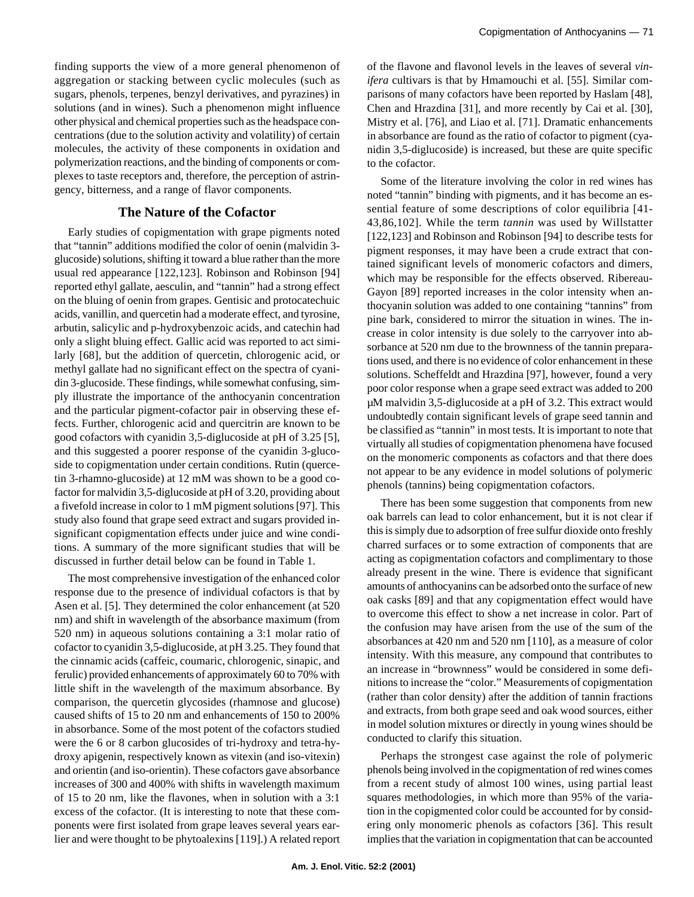finding supports the view of a more general phenomenon of aggregation or stacking between cyclic molecules (such as sugars, phenols, terpenes, benzyl derivatives, and pyrazines) in solutions (and in wines). Such a phenomenon might influence other physical and chemical properties such as the headspace concentrations (due to the solution activity and volatility) of certain molecules, the activity of these components in oxidation and polymerization reactions, and the binding of components or complexes to taste receptors and, therefore, the perception of astringency, bitterness, and a range of flavor components.

## **The Nature of the Cofactor**

Early studies of copigmentation with grape pigments noted that "tannin" additions modified the color of oenin (malvidin 3 glucoside) solutions, shifting it toward a blue rather than the more usual red appearance [122,123]. Robinson and Robinson [94] reported ethyl gallate, aesculin, and "tannin" had a strong effect on the bluing of oenin from grapes. Gentisic and protocatechuic acids, vanillin, and quercetin had a moderate effect, and tyrosine, arbutin, salicylic and p-hydroxybenzoic acids, and catechin had only a slight bluing effect. Gallic acid was reported to act similarly [68], but the addition of quercetin, chlorogenic acid, or methyl gallate had no significant effect on the spectra of cyanidin 3-glucoside. These findings, while somewhat confusing, simply illustrate the importance of the anthocyanin concentration and the particular pigment-cofactor pair in observing these effects. Further, chlorogenic acid and quercitrin are known to be good cofactors with cyanidin 3,5-diglucoside at pH of 3.25 [5], and this suggested a poorer response of the cyanidin 3-glucoside to copigmentation under certain conditions. Rutin (quercetin 3-rhamno-glucoside) at 12 mM was shown to be a good cofactor for malvidin 3,5-diglucoside at pH of 3.20, providing about a fivefold increase in color to 1 mM pigment solutions [97]. This study also found that grape seed extract and sugars provided insignificant copigmentation effects under juice and wine conditions. A summary of the more significant studies that will be discussed in further detail below can be found in Table 1.

The most comprehensive investigation of the enhanced color response due to the presence of individual cofactors is that by Asen et al. [5]. They determined the color enhancement (at 520 nm) and shift in wavelength of the absorbance maximum (from 520 nm) in aqueous solutions containing a 3:1 molar ratio of cofactor to cyanidin 3,5-diglucoside, at pH 3.25. They found that the cinnamic acids (caffeic, coumaric, chlorogenic, sinapic, and ferulic) provided enhancements of approximately 60 to 70% with little shift in the wavelength of the maximum absorbance. By comparison, the quercetin glycosides (rhamnose and glucose) caused shifts of 15 to 20 nm and enhancements of 150 to 200% in absorbance. Some of the most potent of the cofactors studied were the 6 or 8 carbon glucosides of tri-hydroxy and tetra-hydroxy apigenin, respectively known as vitexin (and iso-vitexin) and orientin (and iso-orientin). These cofactors gave absorbance increases of 300 and 400% with shifts in wavelength maximum of 15 to 20 nm, like the flavones, when in solution with a 3:1 excess of the cofactor. (It is interesting to note that these components were first isolated from grape leaves several years earlier and were thought to be phytoalexins [119].) A related report

of the flavone and flavonol levels in the leaves of several *vinifera* cultivars is that by Hmamouchi et al. [55]. Similar comparisons of many cofactors have been reported by Haslam [48], Chen and Hrazdina [31], and more recently by Cai et al. [30], Mistry et al. [76], and Liao et al. [71]. Dramatic enhancements in absorbance are found as the ratio of cofactor to pigment (cyanidin 3,5-diglucoside) is increased, but these are quite specific to the cofactor.

Some of the literature involving the color in red wines has noted "tannin" binding with pigments, and it has become an essential feature of some descriptions of color equilibria [41- 43,86,102]. While the term *tannin* was used by Willstatter [122,123] and Robinson and Robinson [94] to describe tests for pigment responses, it may have been a crude extract that contained significant levels of monomeric cofactors and dimers, which may be responsible for the effects observed. Ribereau-Gayon [89] reported increases in the color intensity when anthocyanin solution was added to one containing "tannins" from pine bark, considered to mirror the situation in wines. The increase in color intensity is due solely to the carryover into absorbance at 520 nm due to the brownness of the tannin preparations used, and there is no evidence of color enhancement in these solutions. Scheffeldt and Hrazdina [97], however, found a very poor color response when a grape seed extract was added to 200 µM malvidin 3,5-diglucoside at a pH of 3.2. This extract would undoubtedly contain significant levels of grape seed tannin and be classified as "tannin" in most tests. It is important to note that virtually all studies of copigmentation phenomena have focused on the monomeric components as cofactors and that there does not appear to be any evidence in model solutions of polymeric phenols (tannins) being copigmentation cofactors.

There has been some suggestion that components from new oak barrels can lead to color enhancement, but it is not clear if this is simply due to adsorption of free sulfur dioxide onto freshly charred surfaces or to some extraction of components that are acting as copigmentation cofactors and complimentary to those already present in the wine. There is evidence that significant amounts of anthocyanins can be adsorbed onto the surface of new oak casks [89] and that any copigmentation effect would have to overcome this effect to show a net increase in color. Part of the confusion may have arisen from the use of the sum of the absorbances at 420 nm and 520 nm [110], as a measure of color intensity. With this measure, any compound that contributes to an increase in "brownness" would be considered in some definitions to increase the "color." Measurements of copigmentation (rather than color density) after the addition of tannin fractions and extracts, from both grape seed and oak wood sources, either in model solution mixtures or directly in young wines should be conducted to clarify this situation.

Perhaps the strongest case against the role of polymeric phenols being involved in the copigmentation of red wines comes from a recent study of almost 100 wines, using partial least squares methodologies, in which more than 95% of the variation in the copigmented color could be accounted for by considering only monomeric phenols as cofactors [36]. This result implies that the variation in copigmentation that can be accounted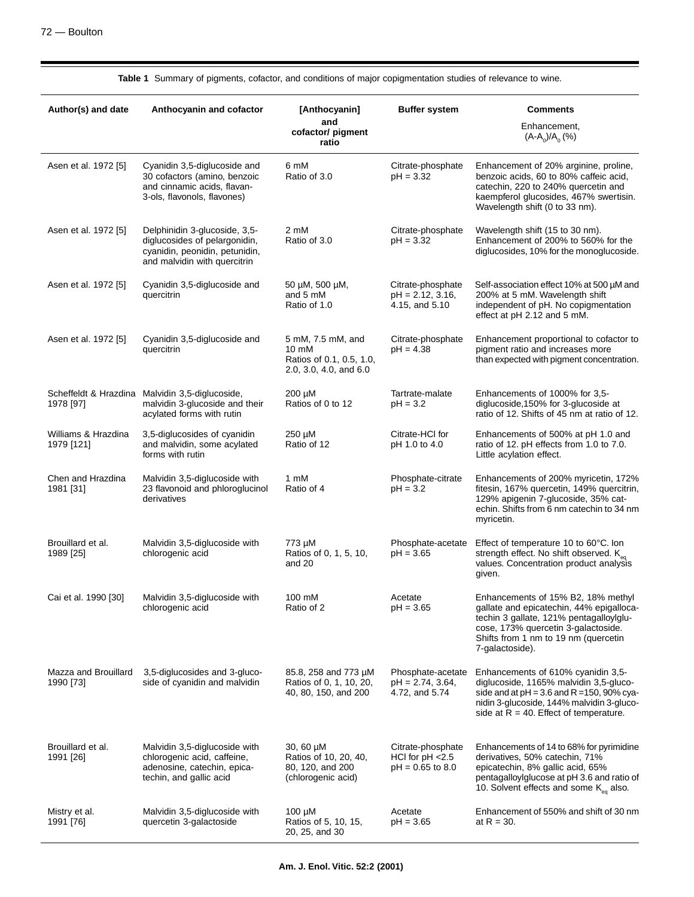| Author(s) and date                 | Anthocyanin and cofactor                                                                                                         | [Anthocyanin]                                                                    | <b>Buffer system</b>                                          | <b>Comments</b>                                                                                                                                                                                                             |
|------------------------------------|----------------------------------------------------------------------------------------------------------------------------------|----------------------------------------------------------------------------------|---------------------------------------------------------------|-----------------------------------------------------------------------------------------------------------------------------------------------------------------------------------------------------------------------------|
|                                    |                                                                                                                                  | and<br>cofactor/ pigment<br>ratio                                                |                                                               | Enhancement,<br>$(A-A_0)/A_0$ (%)                                                                                                                                                                                           |
| Asen et al. 1972 [5]               | Cyanidin 3,5-diglucoside and<br>30 cofactors (amino, benzoic<br>and cinnamic acids, flavan-<br>3-ols, flavonols, flavones)       | 6 mM<br>Ratio of 3.0                                                             | Citrate-phosphate<br>$pH = 3.32$                              | Enhancement of 20% arginine, proline,<br>benzoic acids, 60 to 80% caffeic acid,<br>catechin, 220 to 240% quercetin and<br>kaempferol glucosides, 467% swertisin.<br>Wavelength shift (0 to 33 nm).                          |
| Asen et al. 1972 [5]               | Delphinidin 3-glucoside, 3,5-<br>diglucosides of pelargonidin,<br>cyanidin, peonidin, petunidin,<br>and malvidin with quercitrin | 2 mM<br>Ratio of 3.0                                                             | Citrate-phosphate<br>$pH = 3.32$                              | Wavelength shift (15 to 30 nm).<br>Enhancement of 200% to 560% for the<br>diglucosides, 10% for the monoglucoside.                                                                                                          |
| Asen et al. 1972 [5]               | Cyanidin 3,5-diglucoside and<br>quercitrin                                                                                       | 50 µM, 500 µM,<br>and 5 mM<br>Ratio of 1.0                                       | Citrate-phosphate<br>$pH = 2.12, 3.16,$<br>4.15, and 5.10     | Self-association effect 10% at 500 µM and<br>200% at 5 mM. Wavelength shift<br>independent of pH. No copigmentation<br>effect at pH 2.12 and 5 mM.                                                                          |
| Asen et al. 1972 [5]               | Cyanidin 3,5-diglucoside and<br>quercitrin                                                                                       | 5 mM, 7.5 mM, and<br>10 mM<br>Ratios of 0.1, 0.5, 1.0,<br>2.0, 3.0, 4.0, and 6.0 | Citrate-phosphate<br>$pH = 4.38$                              | Enhancement proportional to cofactor to<br>pigment ratio and increases more<br>than expected with pigment concentration.                                                                                                    |
| Scheffeldt & Hrazdina<br>1978 [97] | Malvidin 3,5-diglucoside,<br>malvidin 3-glucoside and their<br>acylated forms with rutin                                         | 200 µM<br>Ratios of 0 to 12                                                      | Tartrate-malate<br>$pH = 3.2$                                 | Enhancements of 1000% for 3,5-<br>diglucoside, 150% for 3-glucoside at<br>ratio of 12. Shifts of 45 nm at ratio of 12.                                                                                                      |
| Williams & Hrazdina<br>1979 [121]  | 3,5-diglucosides of cyanidin<br>and malvidin, some acylated<br>forms with rutin                                                  | 250 µM<br>Ratio of 12                                                            | Citrate-HCI for<br>pH 1.0 to 4.0                              | Enhancements of 500% at pH 1.0 and<br>ratio of 12. pH effects from 1.0 to 7.0.<br>Little acylation effect.                                                                                                                  |
| Chen and Hrazdina<br>1981 [31]     | Malvidin 3,5-diglucoside with<br>23 flavonoid and phloroglucinol<br>derivatives                                                  | 1 mM<br>Ratio of 4                                                               | Phosphate-citrate<br>$pH = 3.2$                               | Enhancements of 200% myricetin, 172%<br>fitesin, 167% quercetin, 149% quercitrin,<br>129% apigenin 7-glucoside, 35% cat-<br>echin. Shifts from 6 nm catechin to 34 nm<br>myricetin.                                         |
| Brouillard et al.<br>1989 [25]     | Malvidin 3,5-diglucoside with<br>chlorogenic acid                                                                                | 773 µM<br>Ratios of 0, 1, 5, 10,<br>and 20                                       | Phosphate-acetate<br>$pH = 3.65$                              | Effect of temperature 10 to 60°C. Ion<br>strength effect. No shift observed. K <sub>eo</sub><br>values. Concentration product analysis<br>given.                                                                            |
| Cai et al. 1990 [30]               | Malvidin 3,5-diglucoside with<br>chlorogenic acid                                                                                | 100 mM<br>Ratio of 2                                                             | Acetate<br>$pH = 3.65$                                        | Enhancements of 15% B2, 18% methyl<br>gallate and epicatechin, 44% epigalloca-<br>techin 3 gallate, 121% pentagalloylglu-<br>cose, 173% quercetin 3-galactoside.<br>Shifts from 1 nm to 19 nm (quercetin<br>7-galactoside). |
| Mazza and Brouillard<br>1990 [73]  | 3,5-diglucosides and 3-gluco-<br>side of cyanidin and malvidin                                                                   | 85.8, 258 and 773 µM<br>Ratios of 0, 1, 10, 20,<br>40, 80, 150, and 200          | Phosphate-acetate<br>$pH = 2.74, 3.64,$<br>4.72, and 5.74     | Enhancements of 610% cyanidin 3,5-<br>diglucoside, 1165% malvidin 3,5-gluco-<br>side and at $pH = 3.6$ and R = 150, 90% cya-<br>nidin 3-glucoside, 144% malvidin 3-gluco-<br>side at $R = 40$ . Effect of temperature.      |
| Brouillard et al.<br>1991 [26]     | Malvidin 3,5-diglucoside with<br>chlorogenic acid, caffeine,<br>adenosine, catechin, epica-<br>techin, and gallic acid           | 30, 60 µM<br>Ratios of 10, 20, 40,<br>80, 120, and 200<br>(chlorogenic acid)     | Citrate-phosphate<br>HCl for $pH < 2.5$<br>$pH = 0.65$ to 8.0 | Enhancements of 14 to 68% for pyrimidine<br>derivatives, 50% catechin, 71%<br>epicatechin, 8% gallic acid, 65%<br>pentagalloylglucose at pH 3.6 and ratio of<br>10. Solvent effects and some $K_{eq}$ also.                 |
| Mistry et al.<br>1991 [76]         | Malvidin 3,5-diglucoside with<br>quercetin 3-galactoside                                                                         | 100 µM<br>Ratios of 5, 10, 15,<br>20, 25, and 30                                 | Acetate<br>$pH = 3.65$                                        | Enhancement of 550% and shift of 30 nm<br>at $R = 30$ .                                                                                                                                                                     |

**Table 1** Summary of pigments, cofactor, and conditions of major copigmentation studies of relevance to wine.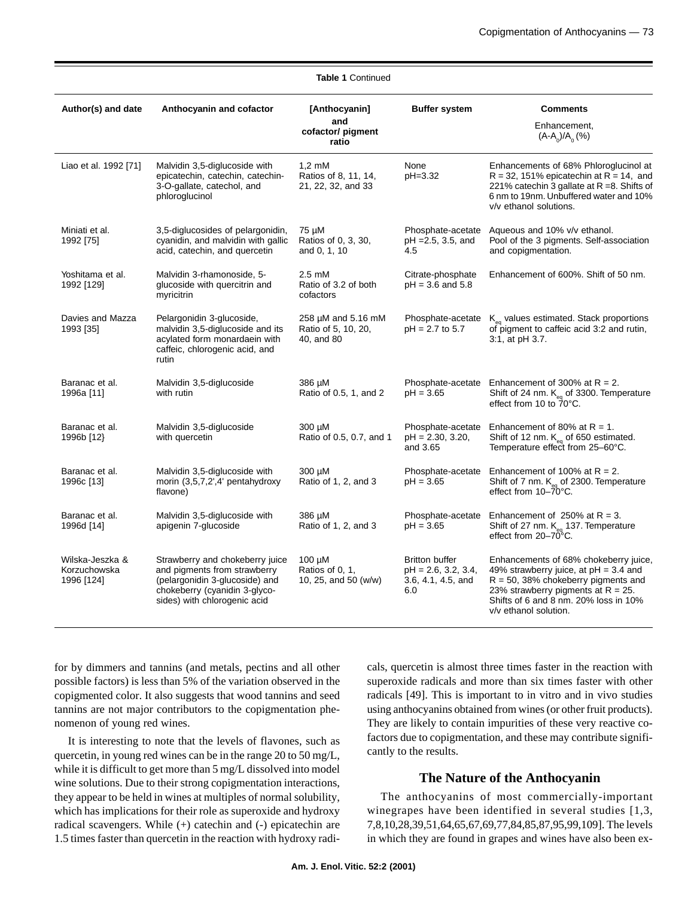| <b>Table 1 Continued</b>                      |                                                                                                                                                                    |                                                                |                                                                             |                                                                                                                                                                                                                                       |  |  |  |
|-----------------------------------------------|--------------------------------------------------------------------------------------------------------------------------------------------------------------------|----------------------------------------------------------------|-----------------------------------------------------------------------------|---------------------------------------------------------------------------------------------------------------------------------------------------------------------------------------------------------------------------------------|--|--|--|
| Author(s) and date                            | Anthocyanin and cofactor                                                                                                                                           | [Anthocyanin]<br>and<br>cofactor/ pigment<br>ratio             | <b>Buffer system</b>                                                        | <b>Comments</b><br>Enhancement,<br>$(A-A_0)/A_0$ (%)                                                                                                                                                                                  |  |  |  |
| Liao et al. 1992 [71]                         | Malvidin 3,5-diglucoside with<br>epicatechin, catechin, catechin-<br>3-O-gallate, catechol, and<br>phloroglucinol                                                  | $1,2 \text{ mM}$<br>Ratios of 8, 11, 14,<br>21, 22, 32, and 33 | None<br>pH=3.32                                                             | Enhancements of 68% Phloroglucinol at<br>$R = 32$ , 151% epicatechin at $R = 14$ , and<br>221% catechin 3 gallate at R =8. Shifts of<br>6 nm to 19nm. Unbuffered water and 10%<br>v/v ethanol solutions.                              |  |  |  |
| Miniati et al.<br>1992 [75]                   | 3,5-diglucosides of pelargonidin,<br>cyanidin, and malvidin with gallic<br>acid, catechin, and quercetin                                                           | 75 µM<br>Ratios of 0, 3, 30,<br>and 0, 1, 10                   | Phosphate-acetate<br>$pH = 2.5, 3.5, and$<br>4.5                            | Aqueous and 10% v/v ethanol.<br>Pool of the 3 pigments. Self-association<br>and copigmentation.                                                                                                                                       |  |  |  |
| Yoshitama et al.<br>1992 [129]                | Malvidin 3-rhamonoside, 5-<br>glucoside with quercitrin and<br>myricitrin                                                                                          | $2.5 \text{ mM}$<br>Ratio of 3.2 of both<br>cofactors          | Citrate-phosphate<br>$pH = 3.6$ and 5.8                                     | Enhancement of 600%. Shift of 50 nm.                                                                                                                                                                                                  |  |  |  |
| Davies and Mazza<br>1993 [35]                 | Pelargonidin 3-glucoside,<br>malvidin 3,5-diglucoside and its<br>acylated form monardaein with<br>caffeic, chlorogenic acid, and<br>rutin                          | 258 µM and 5.16 mM<br>Ratio of 5, 10, 20,<br>40, and 80        | Phosphate-acetate<br>$pH = 2.7$ to 5.7                                      | $K_{eq}$ values estimated. Stack proportions<br>of pigment to caffeic acid 3:2 and rutin,<br>3:1, at pH 3.7.                                                                                                                          |  |  |  |
| Baranac et al.<br>1996a [11]                  | Malvidin 3,5-diglucoside<br>with rutin                                                                                                                             | 386 µM<br>Ratio of 0.5, 1, and 2                               | Phosphate-acetate<br>$pH = 3.65$                                            | Enhancement of 300% at $R = 2$ .<br>Shift of 24 nm. K <sub>eq</sub> of 3300. Temperature<br>effect from 10 to 70°C.                                                                                                                   |  |  |  |
| Baranac et al.<br>1996b [12]                  | Malvidin 3,5-diglucoside<br>with quercetin                                                                                                                         | 300 µM<br>Ratio of 0.5, 0.7, and 1                             | Phosphate-acetate<br>$pH = 2.30, 3.20,$<br>and 3.65                         | Enhancement of 80% at $R = 1$ .<br>Shift of 12 nm. $K_{eq}$ of 650 estimated.<br>Temperature effect from 25–60°C.                                                                                                                     |  |  |  |
| Baranac et al.<br>1996c [13]                  | Malvidin 3,5-diglucoside with<br>morin (3,5,7,2',4' pentahydroxy<br>flavone)                                                                                       | 300 µM<br>Ratio of 1, 2, and 3                                 | Phosphate-acetate<br>$pH = 3.65$                                            | Enhancement of 100% at $R = 2$ .<br>Shift of 7 nm. K <sub>eq</sub> of 2300. Temperature<br>effect from 10-70°C.                                                                                                                       |  |  |  |
| Baranac et al.<br>1996d [14]                  | Malvidin 3,5-diglucoside with<br>apigenin 7-glucoside                                                                                                              | 386 µM<br>Ratio of 1, 2, and 3                                 | Phosphate-acetate<br>$pH = 3.65$                                            | Enhancement of 250% at $R = 3$ .<br>Shift of 27 nm. $K_{eq}$ 137. Temperature<br>effect from 20–70 $^{\circ}$ C.                                                                                                                      |  |  |  |
| Wilska-Jeszka &<br>Korzuchowska<br>1996 [124] | Strawberry and chokeberry juice<br>and pigments from strawberry<br>(pelargonidin 3-glucoside) and<br>chokeberry (cyanidin 3-glyco-<br>sides) with chlorogenic acid | $100 \mu M$<br>Ratios of 0, 1,<br>10, 25, and 50 (w/w)         | <b>Britton buffer</b><br>$pH = 2.6, 3.2, 3.4,$<br>3.6, 4.1, 4.5, and<br>6.0 | Enhancements of 68% chokeberry juice,<br>49% strawberry juice, at $pH = 3.4$ and<br>$R = 50$ , 38% chokeberry pigments and<br>23% strawberry pigments at $R = 25$ .<br>Shifts of 6 and 8 nm. 20% loss in 10%<br>v/v ethanol solution. |  |  |  |

for by dimmers and tannins (and metals, pectins and all other possible factors) is less than 5% of the variation observed in the copigmented color. It also suggests that wood tannins and seed tannins are not major contributors to the copigmentation phenomenon of young red wines.

It is interesting to note that the levels of flavones, such as quercetin, in young red wines can be in the range 20 to 50 mg/L, while it is difficult to get more than 5 mg/L dissolved into model wine solutions. Due to their strong copigmentation interactions, they appear to be held in wines at multiples of normal solubility, which has implications for their role as superoxide and hydroxy radical scavengers. While (+) catechin and (-) epicatechin are 1.5 times faster than quercetin in the reaction with hydroxy radicals, quercetin is almost three times faster in the reaction with superoxide radicals and more than six times faster with other radicals [49]. This is important to in vitro and in vivo studies using anthocyanins obtained from wines (or other fruit products). They are likely to contain impurities of these very reactive cofactors due to copigmentation, and these may contribute significantly to the results.

## **The Nature of the Anthocyanin**

The anthocyanins of most commercially-important winegrapes have been identified in several studies [1,3, 7,8,10,28,39,51,64,65,67,69,77,84,85,87,95,99,109]. The levels in which they are found in grapes and wines have also been ex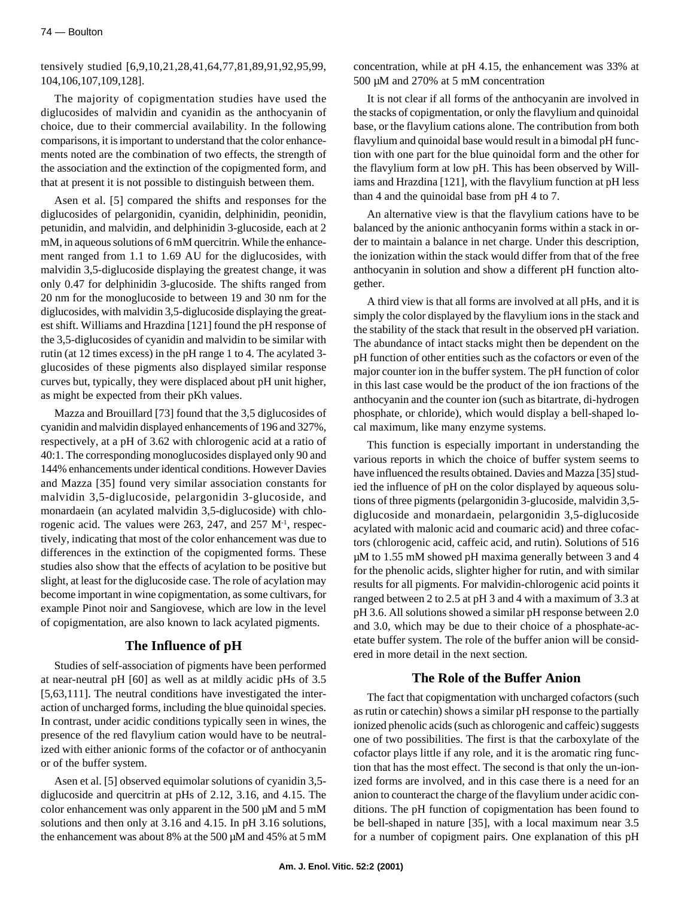tensively studied [6,9,10,21,28,41,64,77,81,89,91,92,95,99, 104,106,107,109,128].

The majority of copigmentation studies have used the diglucosides of malvidin and cyanidin as the anthocyanin of choice, due to their commercial availability. In the following comparisons, it is important to understand that the color enhancements noted are the combination of two effects, the strength of the association and the extinction of the copigmented form, and that at present it is not possible to distinguish between them.

Asen et al. [5] compared the shifts and responses for the diglucosides of pelargonidin, cyanidin, delphinidin, peonidin, petunidin, and malvidin, and delphinidin 3-glucoside, each at 2 mM, in aqueous solutions of 6 mM quercitrin. While the enhancement ranged from 1.1 to 1.69 AU for the diglucosides, with malvidin 3,5-diglucoside displaying the greatest change, it was only 0.47 for delphinidin 3-glucoside. The shifts ranged from 20 nm for the monoglucoside to between 19 and 30 nm for the diglucosides, with malvidin 3,5-diglucoside displaying the greatest shift. Williams and Hrazdina [121] found the pH response of the 3,5-diglucosides of cyanidin and malvidin to be similar with rutin (at 12 times excess) in the pH range 1 to 4. The acylated 3 glucosides of these pigments also displayed similar response curves but, typically, they were displaced about pH unit higher, as might be expected from their pKh values.

Mazza and Brouillard [73] found that the 3,5 diglucosides of cyanidin and malvidin displayed enhancements of 196 and 327%, respectively, at a pH of 3.62 with chlorogenic acid at a ratio of 40:1. The corresponding monoglucosides displayed only 90 and 144% enhancements under identical conditions. However Davies and Mazza [35] found very similar association constants for malvidin 3,5-diglucoside, pelargonidin 3-glucoside, and monardaein (an acylated malvidin 3,5-diglucoside) with chlorogenic acid. The values were  $263$ ,  $247$ , and  $257$  M<sup>-1</sup>, respectively, indicating that most of the color enhancement was due to differences in the extinction of the copigmented forms. These studies also show that the effects of acylation to be positive but slight, at least for the diglucoside case. The role of acylation may become important in wine copigmentation, as some cultivars, for example Pinot noir and Sangiovese, which are low in the level of copigmentation, are also known to lack acylated pigments.

## **The Influence of pH**

Studies of self-association of pigments have been performed at near-neutral pH [60] as well as at mildly acidic pHs of 3.5 [5,63,111]. The neutral conditions have investigated the interaction of uncharged forms, including the blue quinoidal species. In contrast, under acidic conditions typically seen in wines, the presence of the red flavylium cation would have to be neutralized with either anionic forms of the cofactor or of anthocyanin or of the buffer system.

Asen et al. [5] observed equimolar solutions of cyanidin 3,5 diglucoside and quercitrin at pHs of 2.12, 3.16, and 4.15. The color enhancement was only apparent in the 500 µM and 5 mM solutions and then only at 3.16 and 4.15. In pH 3.16 solutions, the enhancement was about 8% at the 500 µM and 45% at 5 mM concentration, while at pH 4.15, the enhancement was 33% at 500 µM and 270% at 5 mM concentration

It is not clear if all forms of the anthocyanin are involved in the stacks of copigmentation, or only the flavylium and quinoidal base, or the flavylium cations alone. The contribution from both flavylium and quinoidal base would result in a bimodal pH function with one part for the blue quinoidal form and the other for the flavylium form at low pH. This has been observed by Williams and Hrazdina [121], with the flavylium function at pH less than 4 and the quinoidal base from pH 4 to 7.

An alternative view is that the flavylium cations have to be balanced by the anionic anthocyanin forms within a stack in order to maintain a balance in net charge. Under this description, the ionization within the stack would differ from that of the free anthocyanin in solution and show a different pH function altogether.

A third view is that all forms are involved at all pHs, and it is simply the color displayed by the flavylium ions in the stack and the stability of the stack that result in the observed pH variation. The abundance of intact stacks might then be dependent on the pH function of other entities such as the cofactors or even of the major counter ion in the buffer system. The pH function of color in this last case would be the product of the ion fractions of the anthocyanin and the counter ion (such as bitartrate, di-hydrogen phosphate, or chloride), which would display a bell-shaped local maximum, like many enzyme systems.

This function is especially important in understanding the various reports in which the choice of buffer system seems to have influenced the results obtained. Davies and Mazza [35] studied the influence of pH on the color displayed by aqueous solutions of three pigments (pelargonidin 3-glucoside, malvidin 3,5 diglucoside and monardaein, pelargonidin 3,5-diglucoside acylated with malonic acid and coumaric acid) and three cofactors (chlorogenic acid, caffeic acid, and rutin). Solutions of 516 µM to 1.55 mM showed pH maxima generally between 3 and 4 for the phenolic acids, slighter higher for rutin, and with similar results for all pigments. For malvidin-chlorogenic acid points it ranged between 2 to 2.5 at pH 3 and 4 with a maximum of 3.3 at pH 3.6. All solutions showed a similar pH response between 2.0 and 3.0, which may be due to their choice of a phosphate-acetate buffer system. The role of the buffer anion will be considered in more detail in the next section.

# **The Role of the Buffer Anion**

The fact that copigmentation with uncharged cofactors (such as rutin or catechin) shows a similar pH response to the partially ionized phenolic acids (such as chlorogenic and caffeic) suggests one of two possibilities. The first is that the carboxylate of the cofactor plays little if any role, and it is the aromatic ring function that has the most effect. The second is that only the un-ionized forms are involved, and in this case there is a need for an anion to counteract the charge of the flavylium under acidic conditions. The pH function of copigmentation has been found to be bell-shaped in nature [35], with a local maximum near 3.5 for a number of copigment pairs. One explanation of this pH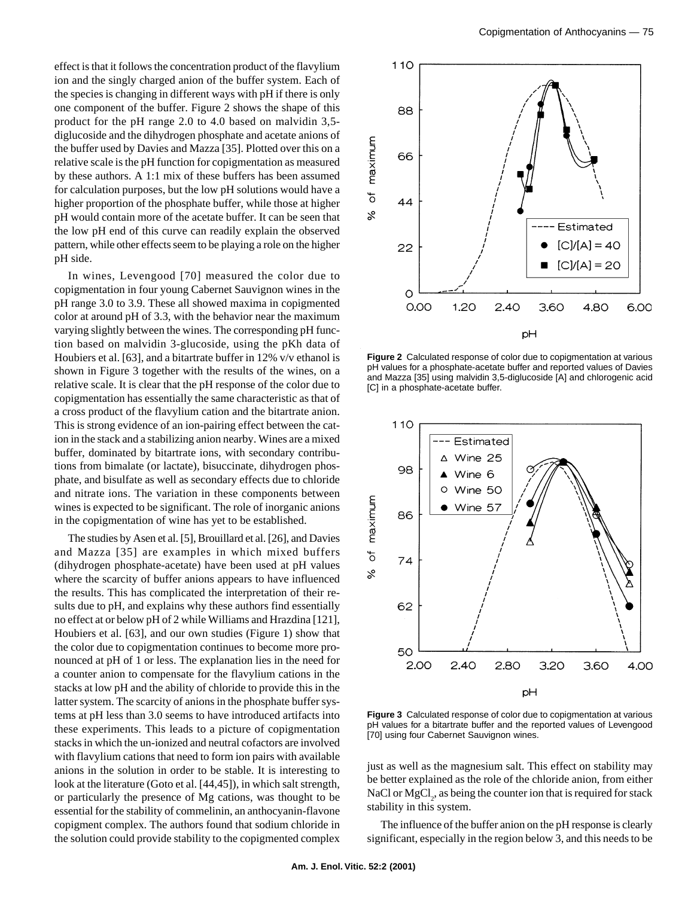effect is that it follows the concentration product of the flavylium ion and the singly charged anion of the buffer system. Each of the species is changing in different ways with pH if there is only one component of the buffer. Figure 2 shows the shape of this product for the pH range 2.0 to 4.0 based on malvidin 3,5 diglucoside and the dihydrogen phosphate and acetate anions of the buffer used by Davies and Mazza [35]. Plotted over this on a relative scale is the pH function for copigmentation as measured by these authors. A 1:1 mix of these buffers has been assumed for calculation purposes, but the low pH solutions would have a higher proportion of the phosphate buffer, while those at higher pH would contain more of the acetate buffer. It can be seen that the low pH end of this curve can readily explain the observed pattern, while other effects seem to be playing a role on the higher pH side.

In wines, Levengood [70] measured the color due to copigmentation in four young Cabernet Sauvignon wines in the pH range 3.0 to 3.9. These all showed maxima in copigmented color at around pH of 3.3, with the behavior near the maximum varying slightly between the wines. The corresponding pH function based on malvidin 3-glucoside, using the pKh data of Houbiers et al. [63], and a bitartrate buffer in 12% v/v ethanol is shown in Figure 3 together with the results of the wines, on a relative scale. It is clear that the pH response of the color due to copigmentation has essentially the same characteristic as that of a cross product of the flavylium cation and the bitartrate anion. This is strong evidence of an ion-pairing effect between the cation in the stack and a stabilizing anion nearby. Wines are a mixed buffer, dominated by bitartrate ions, with secondary contributions from bimalate (or lactate), bisuccinate, dihydrogen phosphate, and bisulfate as well as secondary effects due to chloride and nitrate ions. The variation in these components between wines is expected to be significant. The role of inorganic anions in the copigmentation of wine has yet to be established.

The studies by Asen et al. [5], Brouillard et al. [26], and Davies and Mazza [35] are examples in which mixed buffers (dihydrogen phosphate-acetate) have been used at pH values where the scarcity of buffer anions appears to have influenced the results. This has complicated the interpretation of their results due to pH, and explains why these authors find essentially no effect at or below pH of 2 while Williams and Hrazdina [121], Houbiers et al. [63], and our own studies (Figure 1) show that the color due to copigmentation continues to become more pronounced at pH of 1 or less. The explanation lies in the need for a counter anion to compensate for the flavylium cations in the stacks at low pH and the ability of chloride to provide this in the latter system. The scarcity of anions in the phosphate buffer systems at pH less than 3.0 seems to have introduced artifacts into these experiments. This leads to a picture of copigmentation stacks in which the un-ionized and neutral cofactors are involved with flavylium cations that need to form ion pairs with available anions in the solution in order to be stable. It is interesting to look at the literature (Goto et al. [44,45]), in which salt strength, or particularly the presence of Mg cations, was thought to be essential for the stability of commelinin, an anthocyanin-flavone copigment complex. The authors found that sodium chloride in the solution could provide stability to the copigmented complex



**Figure 2** Calculated response of color due to copigmentation at various pH values for a phosphate-acetate buffer and reported values of Davies and Mazza [35] using malvidin 3,5-diglucoside [A] and chlorogenic acid [C] in a phosphate-acetate buffer.



**Figure 3** Calculated response of color due to copigmentation at various pH values for a bitartrate buffer and the reported values of Levengood [70] using four Cabernet Sauvignon wines.

just as well as the magnesium salt. This effect on stability may be better explained as the role of the chloride anion, from either NaCl or  ${ {\rm MgCl}_2}$ , as being the counter ion that is required for stack stability in this system.

The influence of the buffer anion on the pH response is clearly significant, especially in the region below 3, and this needs to be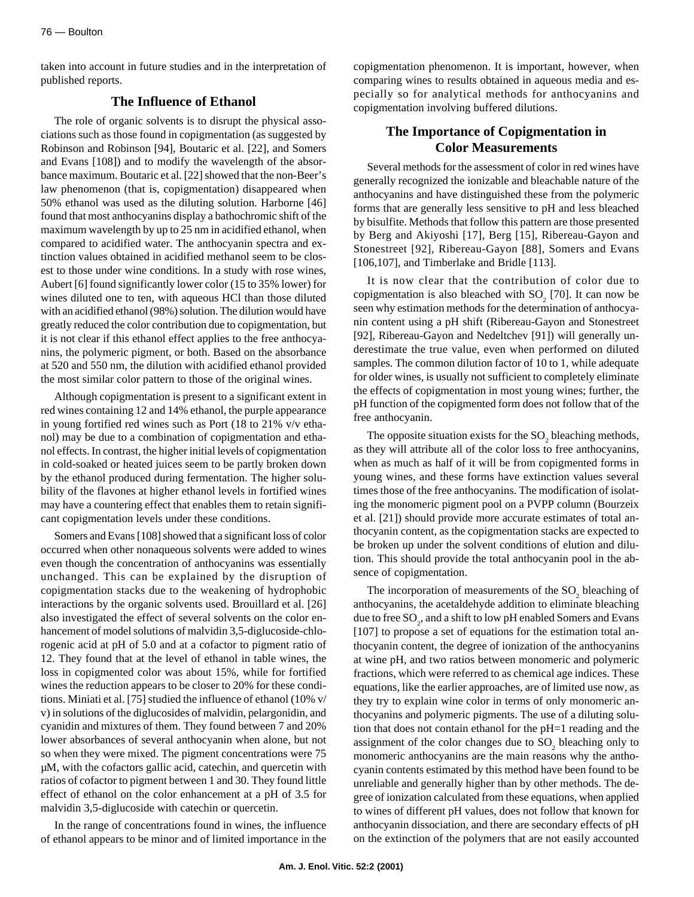taken into account in future studies and in the interpretation of published reports.

#### **The Influence of Ethanol**

The role of organic solvents is to disrupt the physical associations such as those found in copigmentation (as suggested by Robinson and Robinson [94], Boutaric et al. [22], and Somers and Evans [108]) and to modify the wavelength of the absorbance maximum. Boutaric et al. [22] showed that the non-Beer's law phenomenon (that is, copigmentation) disappeared when 50% ethanol was used as the diluting solution. Harborne [46] found that most anthocyanins display a bathochromic shift of the maximum wavelength by up to 25 nm in acidified ethanol, when compared to acidified water. The anthocyanin spectra and extinction values obtained in acidified methanol seem to be closest to those under wine conditions. In a study with rose wines, Aubert [6] found significantly lower color (15 to 35% lower) for wines diluted one to ten, with aqueous HCl than those diluted with an acidified ethanol (98%) solution. The dilution would have greatly reduced the color contribution due to copigmentation, but it is not clear if this ethanol effect applies to the free anthocyanins, the polymeric pigment, or both. Based on the absorbance at 520 and 550 nm, the dilution with acidified ethanol provided the most similar color pattern to those of the original wines.

Although copigmentation is present to a significant extent in red wines containing 12 and 14% ethanol, the purple appearance in young fortified red wines such as Port (18 to 21% v/v ethanol) may be due to a combination of copigmentation and ethanol effects. In contrast, the higher initial levels of copigmentation in cold-soaked or heated juices seem to be partly broken down by the ethanol produced during fermentation. The higher solubility of the flavones at higher ethanol levels in fortified wines may have a countering effect that enables them to retain significant copigmentation levels under these conditions.

Somers and Evans [108] showed that a significant loss of color occurred when other nonaqueous solvents were added to wines even though the concentration of anthocyanins was essentially unchanged. This can be explained by the disruption of copigmentation stacks due to the weakening of hydrophobic interactions by the organic solvents used. Brouillard et al. [26] also investigated the effect of several solvents on the color enhancement of model solutions of malvidin 3,5-diglucoside-chlorogenic acid at pH of 5.0 and at a cofactor to pigment ratio of 12. They found that at the level of ethanol in table wines, the loss in copigmented color was about 15%, while for fortified wines the reduction appears to be closer to 20% for these conditions. Miniati et al. [75] studied the influence of ethanol (10% v/ v) in solutions of the diglucosides of malvidin, pelargonidin, and cyanidin and mixtures of them. They found between 7 and 20% lower absorbances of several anthocyanin when alone, but not so when they were mixed. The pigment concentrations were 75 µM, with the cofactors gallic acid, catechin, and quercetin with ratios of cofactor to pigment between 1 and 30. They found little effect of ethanol on the color enhancement at a pH of 3.5 for malvidin 3,5-diglucoside with catechin or quercetin.

In the range of concentrations found in wines, the influence of ethanol appears to be minor and of limited importance in the copigmentation phenomenon. It is important, however, when comparing wines to results obtained in aqueous media and especially so for analytical methods for anthocyanins and copigmentation involving buffered dilutions.

# **The Importance of Copigmentation in Color Measurements**

Several methods for the assessment of color in red wines have generally recognized the ionizable and bleachable nature of the anthocyanins and have distinguished these from the polymeric forms that are generally less sensitive to pH and less bleached by bisulfite. Methods that follow this pattern are those presented by Berg and Akiyoshi [17], Berg [15], Ribereau-Gayon and Stonestreet [92], Ribereau-Gayon [88], Somers and Evans [106,107], and Timberlake and Bridle [113].

It is now clear that the contribution of color due to copigmentation is also bleached with  $SO_2$  [70]. It can now be seen why estimation methods for the determination of anthocyanin content using a pH shift (Ribereau-Gayon and Stonestreet [92], Ribereau-Gayon and Nedeltchev [91]) will generally underestimate the true value, even when performed on diluted samples. The common dilution factor of 10 to 1, while adequate for older wines, is usually not sufficient to completely eliminate the effects of copigmentation in most young wines; further, the pH function of the copigmented form does not follow that of the free anthocyanin.

The opposite situation exists for the  $SO_2$  bleaching methods, as they will attribute all of the color loss to free anthocyanins, when as much as half of it will be from copigmented forms in young wines, and these forms have extinction values several times those of the free anthocyanins. The modification of isolating the monomeric pigment pool on a PVPP column (Bourzeix et al. [21]) should provide more accurate estimates of total anthocyanin content, as the copigmentation stacks are expected to be broken up under the solvent conditions of elution and dilution. This should provide the total anthocyanin pool in the absence of copigmentation.

The incorporation of measurements of the  $SO_2$  bleaching of anthocyanins, the acetaldehyde addition to eliminate bleaching due to free  $\text{SO}_2$ , and a shift to low pH enabled Somers and Evans [107] to propose a set of equations for the estimation total anthocyanin content, the degree of ionization of the anthocyanins at wine pH, and two ratios between monomeric and polymeric fractions, which were referred to as chemical age indices. These equations, like the earlier approaches, are of limited use now, as they try to explain wine color in terms of only monomeric anthocyanins and polymeric pigments. The use of a diluting solution that does not contain ethanol for the pH=1 reading and the assignment of the color changes due to  $SO_2$  bleaching only to monomeric anthocyanins are the main reasons why the anthocyanin contents estimated by this method have been found to be unreliable and generally higher than by other methods. The degree of ionization calculated from these equations, when applied to wines of different pH values, does not follow that known for anthocyanin dissociation, and there are secondary effects of pH on the extinction of the polymers that are not easily accounted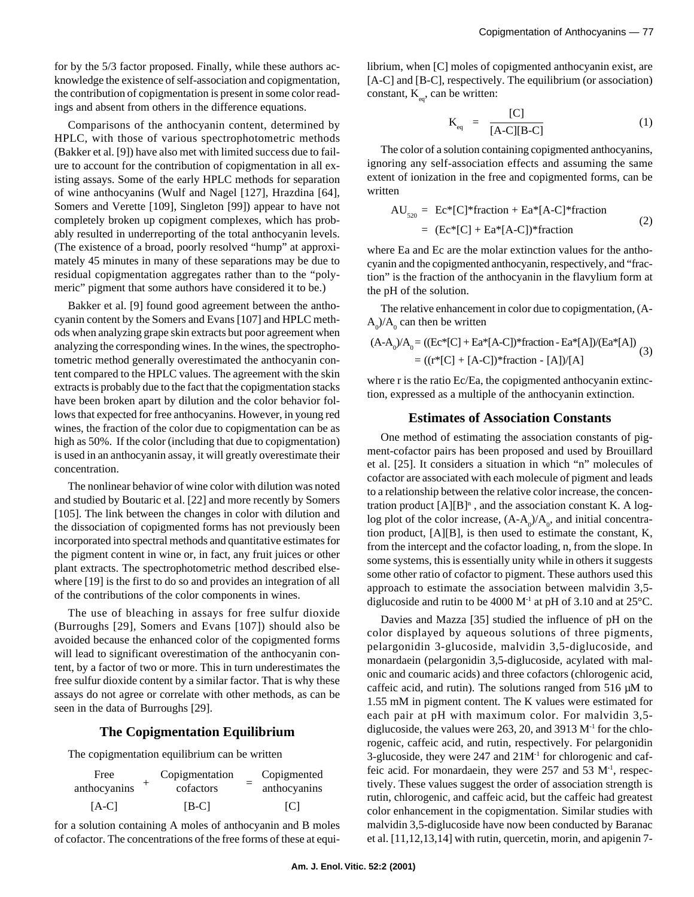for by the 5/3 factor proposed. Finally, while these authors acknowledge the existence of self-association and copigmentation, the contribution of copigmentation is present in some color readings and absent from others in the difference equations.

Comparisons of the anthocyanin content, determined by HPLC, with those of various spectrophotometric methods (Bakker et al. [9]) have also met with limited success due to failure to account for the contribution of copigmentation in all existing assays. Some of the early HPLC methods for separation of wine anthocyanins (Wulf and Nagel [127], Hrazdina [64], Somers and Verette [109], Singleton [99]) appear to have not completely broken up copigment complexes, which has probably resulted in underreporting of the total anthocyanin levels. (The existence of a broad, poorly resolved "hump" at approximately 45 minutes in many of these separations may be due to residual copigmentation aggregates rather than to the "polymeric" pigment that some authors have considered it to be.)

Bakker et al. [9] found good agreement between the anthocyanin content by the Somers and Evans [107] and HPLC methods when analyzing grape skin extracts but poor agreement when analyzing the corresponding wines. In the wines, the spectrophotometric method generally overestimated the anthocyanin content compared to the HPLC values. The agreement with the skin extracts is probably due to the fact that the copigmentation stacks have been broken apart by dilution and the color behavior follows that expected for free anthocyanins. However, in young red wines, the fraction of the color due to copigmentation can be as high as 50%. If the color (including that due to copigmentation) is used in an anthocyanin assay, it will greatly overestimate their concentration.

The nonlinear behavior of wine color with dilution was noted and studied by Boutaric et al. [22] and more recently by Somers [105]. The link between the changes in color with dilution and the dissociation of copigmented forms has not previously been incorporated into spectral methods and quantitative estimates for the pigment content in wine or, in fact, any fruit juices or other plant extracts. The spectrophotometric method described elsewhere [19] is the first to do so and provides an integration of all of the contributions of the color components in wines.

The use of bleaching in assays for free sulfur dioxide (Burroughs [29], Somers and Evans [107]) should also be avoided because the enhanced color of the copigmented forms will lead to significant overestimation of the anthocyanin content, by a factor of two or more. This in turn underestimates the free sulfur dioxide content by a similar factor. That is why these assays do not agree or correlate with other methods, as can be seen in the data of Burroughs [29].

## **The Copigmentation Equilibrium**

The copigmentation equilibrium can be written

| Free         |  | Copigmentation<br>cofactors |  | Copigmented  |
|--------------|--|-----------------------------|--|--------------|
| anthocyanins |  |                             |  | anthocyanins |
| $[A-C]$      |  | $[B-C]$                     |  | C            |

for a solution containing A moles of anthocyanin and B moles of cofactor. The concentrations of the free forms of these at equi-

librium, when [C] moles of copigmented anthocyanin exist, are [A-C] and [B-C], respectively. The equilibrium (or association) constant,  $K_{eq}$ , can be written:

$$
K_{eq} = \frac{[C]}{[A-C][B-C]} \tag{1}
$$

The color of a solution containing copigmented anthocyanins, ignoring any self-association effects and assuming the same extent of ionization in the free and copigmented forms, can be written

$$
AU_{520} = Ec* [C]*fraction + Ea* [A-C]*fraction
$$
  
= (Ec\* [C] + Ea\* [A-C])\*fraction (2)

where Ea and Ec are the molar extinction values for the anthocyanin and the copigmented anthocyanin, respectively, and "fraction" is the fraction of the anthocyanin in the flavylium form at the pH of the solution.

The relative enhancement in color due to copigmentation, (A- $A_0$ )/ $A_0$  can then be written

$$
(A-A_0)/A_0 = ((Ec*[C] + Ea*[A-C]) * fraction - Ea*[A])/Ea*[A])
$$
  
= ((r\* [C] + [A-C]) \* fraction - [A])/[A] (3)

where r is the ratio Ec/Ea, the copigmented anthocyanin extinction, expressed as a multiple of the anthocyanin extinction.

#### **Estimates of Association Constants**

One method of estimating the association constants of pigment-cofactor pairs has been proposed and used by Brouillard et al. [25]. It considers a situation in which "n" molecules of cofactor are associated with each molecule of pigment and leads to a relationship between the relative color increase, the concentration product  $[A][B]^n$ , and the association constant K. A loglog plot of the color increase,  $(A-A_0)/A_0$ , and initial concentration product, [A][B], is then used to estimate the constant, K, from the intercept and the cofactor loading, n, from the slope. In some systems, this is essentially unity while in others it suggests some other ratio of cofactor to pigment. These authors used this approach to estimate the association between malvidin 3,5 diglucoside and rutin to be 4000  $M<sup>-1</sup>$  at pH of 3.10 and at 25 $^{\circ}$ C.

Davies and Mazza [35] studied the influence of pH on the color displayed by aqueous solutions of three pigments, pelargonidin 3-glucoside, malvidin 3,5-diglucoside, and monardaein (pelargonidin 3,5-diglucoside, acylated with malonic and coumaric acids) and three cofactors (chlorogenic acid, caffeic acid, and rutin). The solutions ranged from 516 µM to 1.55 mM in pigment content. The K values were estimated for each pair at pH with maximum color. For malvidin 3,5 diglucoside, the values were 263, 20, and 3913  $M<sup>-1</sup>$  for the chlorogenic, caffeic acid, and rutin, respectively. For pelargonidin 3-glucoside, they were  $247$  and  $21M<sup>-1</sup>$  for chlorogenic and caffeic acid. For monardaein, they were  $257$  and  $53$  M<sup>-1</sup>, respectively. These values suggest the order of association strength is rutin, chlorogenic, and caffeic acid, but the caffeic had greatest color enhancement in the copigmentation. Similar studies with malvidin 3,5-diglucoside have now been conducted by Baranac et al. [11,12,13,14] with rutin, quercetin, morin, and apigenin 7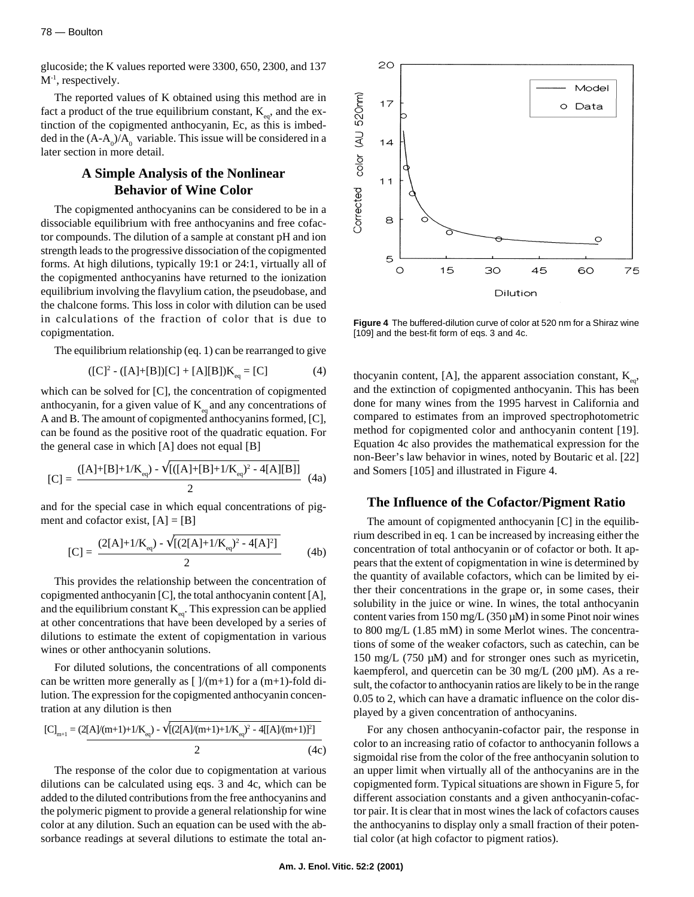glucoside; the K values reported were 3300, 650, 2300, and 137 M-1, respectively.

The reported values of K obtained using this method are in fact a product of the true equilibrium constant,  $K_{eq}$ , and the extinction of the copigmented anthocyanin, Ec, as this is imbedded in the  $(A-A_0)/A_0$  variable. This issue will be considered in a later section in more detail.

# **A Simple Analysis of the Nonlinear Behavior of Wine Color**

The copigmented anthocyanins can be considered to be in a dissociable equilibrium with free anthocyanins and free cofactor compounds. The dilution of a sample at constant pH and ion strength leads to the progressive dissociation of the copigmented forms. At high dilutions, typically 19:1 or 24:1, virtually all of the copigmented anthocyanins have returned to the ionization equilibrium involving the flavylium cation, the pseudobase, and the chalcone forms. This loss in color with dilution can be used in calculations of the fraction of color that is due to copigmentation.

The equilibrium relationship (eq. 1) can be rearranged to give

$$
([C]2 - ([A]+[B])[C] + [A][B])K_{eq} = [C]
$$
 (4)

which can be solved for [C], the concentration of copigmented anthocyanin, for a given value of  $K_{eq}$  and any concentrations of A and B. The amount of copigmented anthocyanins formed, [C], can be found as the positive root of the quadratic equation. For the general case in which [A] does not equal [B]

[C] = 
$$
\frac{([A]+[B]+1/K_{\text{eq}}) - \sqrt{[((A]+[B]+1/K_{\text{eq}})^2 - 4[A][B]]}}{2}
$$
 (4a)

and for the special case in which equal concentrations of pigment and cofactor exist,  $[A] = [B]$ 

[C] = 
$$
\frac{(2[A]+1/K_{\text{eq}}) - \sqrt{[(2[A]+1/K_{\text{eq}})^{2} - 4[A]^2]}}{2}
$$
 (4b)

This provides the relationship between the concentration of copigmented anthocyanin [C], the total anthocyanin content [A], and the equilibrium constant  $K_{eq}$ . This expression can be applied at other concentrations that have been developed by a series of dilutions to estimate the extent of copigmentation in various wines or other anthocyanin solutions.

For diluted solutions, the concentrations of all components can be written more generally as  $\lceil \frac{1}{m+1} \rceil$  for a  $(m+1)$ -fold dilution. The expression for the copigmented anthocyanin concentration at any dilution is then

$$
[C]_{m+1} = (2[A]/(m+1) + 1/K_{eq}) - \sqrt{[(2[A]/(m+1) + 1/K_{eq})^2 - 4[[A]/(m+1)]^2]}
$$
  
2 (4c)

The response of the color due to copigmentation at various dilutions can be calculated using eqs. 3 and 4c, which can be added to the diluted contributions from the free anthocyanins and the polymeric pigment to provide a general relationship for wine color at any dilution. Such an equation can be used with the absorbance readings at several dilutions to estimate the total an-



**Figure 4** The buffered-dilution curve of color at 520 nm for a Shiraz wine [109] and the best-fit form of eqs. 3 and 4c.

thocyanin content, [A], the apparent association constant,  $K_{eq}$ , and the extinction of copigmented anthocyanin. This has been done for many wines from the 1995 harvest in California and compared to estimates from an improved spectrophotometric method for copigmented color and anthocyanin content [19]. Equation 4c also provides the mathematical expression for the non-Beer's law behavior in wines, noted by Boutaric et al. [22] and Somers [105] and illustrated in Figure 4.

#### **The Influence of the Cofactor/Pigment Ratio**

The amount of copigmented anthocyanin [C] in the equilibrium described in eq. 1 can be increased by increasing either the concentration of total anthocyanin or of cofactor or both. It appears that the extent of copigmentation in wine is determined by the quantity of available cofactors, which can be limited by either their concentrations in the grape or, in some cases, their solubility in the juice or wine. In wines, the total anthocyanin content varies from  $150 \text{ mg/L}$  (350  $\mu$ M) in some Pinot noir wines to 800 mg/L (1.85 mM) in some Merlot wines. The concentrations of some of the weaker cofactors, such as catechin, can be 150 mg/L (750 µM) and for stronger ones such as myricetin, kaempferol, and quercetin can be 30 mg/L (200 µM). As a result, the cofactor to anthocyanin ratios are likely to be in the range 0.05 to 2, which can have a dramatic influence on the color displayed by a given concentration of anthocyanins.

For any chosen anthocyanin-cofactor pair, the response in color to an increasing ratio of cofactor to anthocyanin follows a sigmoidal rise from the color of the free anthocyanin solution to an upper limit when virtually all of the anthocyanins are in the copigmented form. Typical situations are shown in Figure 5, for different association constants and a given anthocyanin-cofactor pair. It is clear that in most wines the lack of cofactors causes the anthocyanins to display only a small fraction of their potential color (at high cofactor to pigment ratios).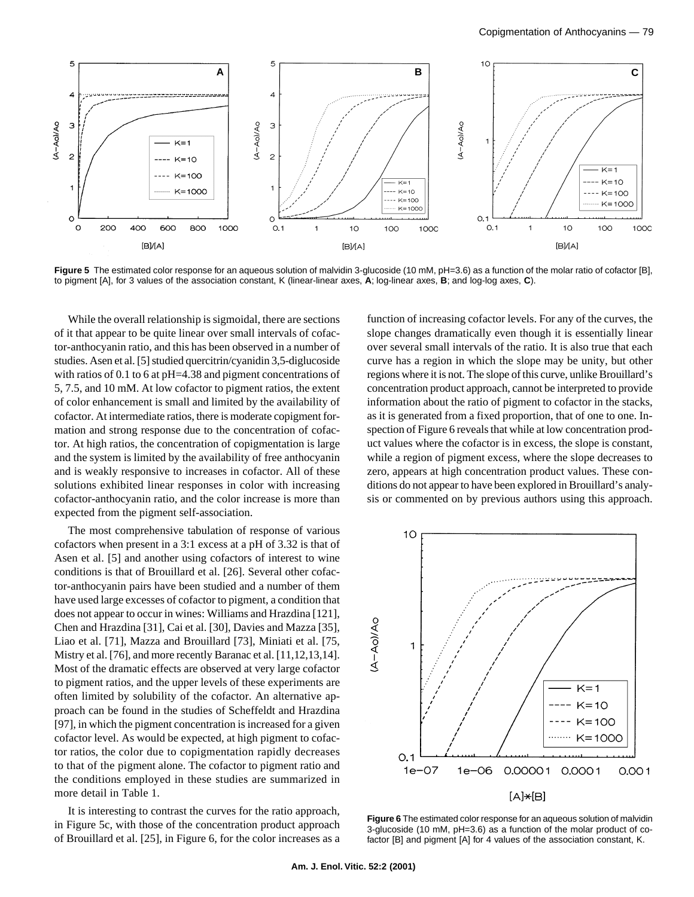

**Figure 5** The estimated color response for an aqueous solution of malvidin 3-glucoside (10 mM, pH=3.6) as a function of the molar ratio of cofactor [B], to pigment [A], for 3 values of the association constant, K (linear-linear axes, **A**; log-linear axes, **B**; and log-log axes, **C**).

While the overall relationship is sigmoidal, there are sections of it that appear to be quite linear over small intervals of cofactor-anthocyanin ratio, and this has been observed in a number of studies. Asen et al. [5] studied quercitrin/cyanidin 3,5-diglucoside with ratios of 0.1 to 6 at pH=4.38 and pigment concentrations of 5, 7.5, and 10 mM. At low cofactor to pigment ratios, the extent of color enhancement is small and limited by the availability of cofactor. At intermediate ratios, there is moderate copigment formation and strong response due to the concentration of cofactor. At high ratios, the concentration of copigmentation is large and the system is limited by the availability of free anthocyanin and is weakly responsive to increases in cofactor. All of these solutions exhibited linear responses in color with increasing cofactor-anthocyanin ratio, and the color increase is more than expected from the pigment self-association.

The most comprehensive tabulation of response of various cofactors when present in a 3:1 excess at a pH of 3.32 is that of Asen et al. [5] and another using cofactors of interest to wine conditions is that of Brouillard et al. [26]. Several other cofactor-anthocyanin pairs have been studied and a number of them have used large excesses of cofactor to pigment, a condition that does not appear to occur in wines: Williams and Hrazdina [121], Chen and Hrazdina [31], Cai et al. [30], Davies and Mazza [35], Liao et al. [71], Mazza and Brouillard [73], Miniati et al. [75, Mistry et al. [76], and more recently Baranac et al. [11,12,13,14]. Most of the dramatic effects are observed at very large cofactor to pigment ratios, and the upper levels of these experiments are often limited by solubility of the cofactor. An alternative approach can be found in the studies of Scheffeldt and Hrazdina [97], in which the pigment concentration is increased for a given cofactor level. As would be expected, at high pigment to cofactor ratios, the color due to copigmentation rapidly decreases to that of the pigment alone. The cofactor to pigment ratio and the conditions employed in these studies are summarized in more detail in Table 1.

It is interesting to contrast the curves for the ratio approach, in Figure 5c, with those of the concentration product approach of Brouillard et al. [25], in Figure 6, for the color increases as a

function of increasing cofactor levels. For any of the curves, the slope changes dramatically even though it is essentially linear over several small intervals of the ratio. It is also true that each curve has a region in which the slope may be unity, but other regions where it is not. The slope of this curve, unlike Brouillard's concentration product approach, cannot be interpreted to provide information about the ratio of pigment to cofactor in the stacks, as it is generated from a fixed proportion, that of one to one. Inspection of Figure 6 reveals that while at low concentration product values where the cofactor is in excess, the slope is constant, while a region of pigment excess, where the slope decreases to zero, appears at high concentration product values. These conditions do not appear to have been explored in Brouillard's analysis or commented on by previous authors using this approach.



**Figure 6** The estimated color response for an aqueous solution of malvidin 3-glucoside (10 mM, pH=3.6) as a function of the molar product of cofactor [B] and pigment [A] for 4 values of the association constant, K.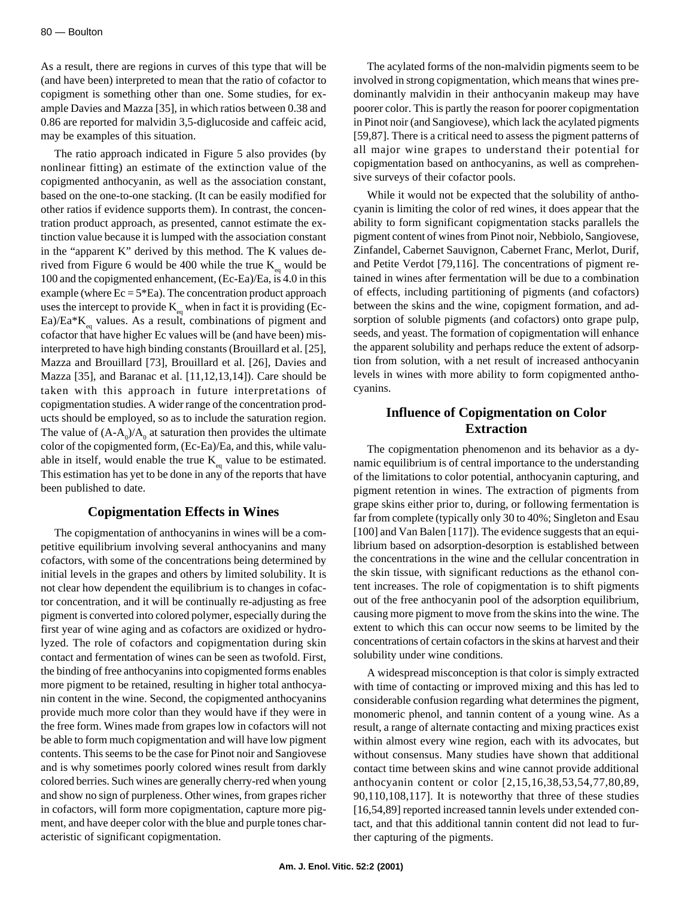As a result, there are regions in curves of this type that will be (and have been) interpreted to mean that the ratio of cofactor to copigment is something other than one. Some studies, for example Davies and Mazza [35], in which ratios between 0.38 and 0.86 are reported for malvidin 3,5-diglucoside and caffeic acid, may be examples of this situation.

The ratio approach indicated in Figure 5 also provides (by nonlinear fitting) an estimate of the extinction value of the copigmented anthocyanin, as well as the association constant, based on the one-to-one stacking. (It can be easily modified for other ratios if evidence supports them). In contrast, the concentration product approach, as presented, cannot estimate the extinction value because it is lumped with the association constant in the "apparent K" derived by this method. The K values derived from Figure 6 would be 400 while the true  $K_{eq}$  would be 100 and the copigmented enhancement, (Ec-Ea)/Ea, is 4.0 in this example (where  $Ec = 5*Ea$ ). The concentration product approach uses the intercept to provide  $K_{eq}$  when in fact it is providing (Ec-Ea)/Ea\*K<sub>eq</sub> values. As a result, combinations of pigment and cofactor that have higher Ec values will be (and have been) misinterpreted to have high binding constants (Brouillard et al. [25], Mazza and Brouillard [73], Brouillard et al. [26], Davies and Mazza [35], and Baranac et al. [11,12,13,14]). Care should be taken with this approach in future interpretations of copigmentation studies. A wider range of the concentration products should be employed, so as to include the saturation region. The value of  $(A-A_0)/A_0$  at saturation then provides the ultimate color of the copigmented form, (Ec-Ea)/Ea, and this, while valuable in itself, would enable the true  $K_{eq}$  value to be estimated. This estimation has yet to be done in any of the reports that have been published to date.

## **Copigmentation Effects in Wines**

The copigmentation of anthocyanins in wines will be a competitive equilibrium involving several anthocyanins and many cofactors, with some of the concentrations being determined by initial levels in the grapes and others by limited solubility. It is not clear how dependent the equilibrium is to changes in cofactor concentration, and it will be continually re-adjusting as free pigment is converted into colored polymer, especially during the first year of wine aging and as cofactors are oxidized or hydrolyzed. The role of cofactors and copigmentation during skin contact and fermentation of wines can be seen as twofold. First, the binding of free anthocyanins into copigmented forms enables more pigment to be retained, resulting in higher total anthocyanin content in the wine. Second, the copigmented anthocyanins provide much more color than they would have if they were in the free form. Wines made from grapes low in cofactors will not be able to form much copigmentation and will have low pigment contents. This seems to be the case for Pinot noir and Sangiovese and is why sometimes poorly colored wines result from darkly colored berries. Such wines are generally cherry-red when young and show no sign of purpleness. Other wines, from grapes richer in cofactors, will form more copigmentation, capture more pigment, and have deeper color with the blue and purple tones characteristic of significant copigmentation.

The acylated forms of the non-malvidin pigments seem to be involved in strong copigmentation, which means that wines predominantly malvidin in their anthocyanin makeup may have poorer color. This is partly the reason for poorer copigmentation in Pinot noir (and Sangiovese), which lack the acylated pigments [59,87]. There is a critical need to assess the pigment patterns of all major wine grapes to understand their potential for copigmentation based on anthocyanins, as well as comprehensive surveys of their cofactor pools.

While it would not be expected that the solubility of anthocyanin is limiting the color of red wines, it does appear that the ability to form significant copigmentation stacks parallels the pigment content of wines from Pinot noir, Nebbiolo, Sangiovese, Zinfandel, Cabernet Sauvignon, Cabernet Franc, Merlot, Durif, and Petite Verdot [79,116]. The concentrations of pigment retained in wines after fermentation will be due to a combination of effects, including partitioning of pigments (and cofactors) between the skins and the wine, copigment formation, and adsorption of soluble pigments (and cofactors) onto grape pulp, seeds, and yeast. The formation of copigmentation will enhance the apparent solubility and perhaps reduce the extent of adsorption from solution, with a net result of increased anthocyanin levels in wines with more ability to form copigmented anthocyanins.

# **Influence of Copigmentation on Color Extraction**

The copigmentation phenomenon and its behavior as a dynamic equilibrium is of central importance to the understanding of the limitations to color potential, anthocyanin capturing, and pigment retention in wines. The extraction of pigments from grape skins either prior to, during, or following fermentation is far from complete (typically only 30 to 40%; Singleton and Esau [100] and Van Balen [117]). The evidence suggests that an equilibrium based on adsorption-desorption is established between the concentrations in the wine and the cellular concentration in the skin tissue, with significant reductions as the ethanol content increases. The role of copigmentation is to shift pigments out of the free anthocyanin pool of the adsorption equilibrium, causing more pigment to move from the skins into the wine. The extent to which this can occur now seems to be limited by the concentrations of certain cofactors in the skins at harvest and their solubility under wine conditions.

A widespread misconception is that color is simply extracted with time of contacting or improved mixing and this has led to considerable confusion regarding what determines the pigment, monomeric phenol, and tannin content of a young wine. As a result, a range of alternate contacting and mixing practices exist within almost every wine region, each with its advocates, but without consensus. Many studies have shown that additional contact time between skins and wine cannot provide additional anthocyanin content or color [2,15,16,38,53,54,77,80,89, 90,110,108,117]. It is noteworthy that three of these studies [16,54,89] reported increased tannin levels under extended contact, and that this additional tannin content did not lead to further capturing of the pigments.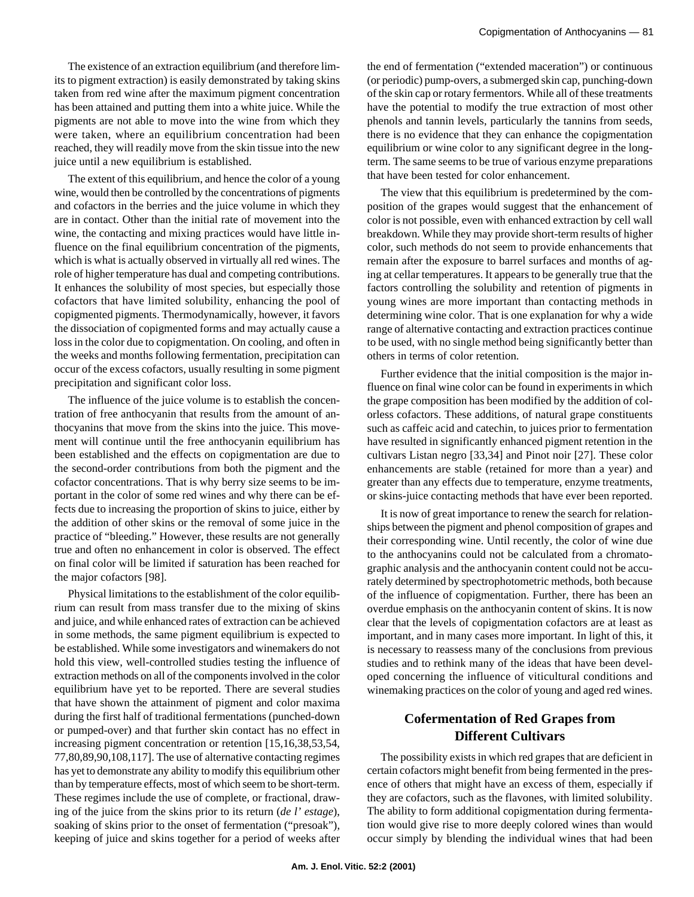The existence of an extraction equilibrium (and therefore limits to pigment extraction) is easily demonstrated by taking skins taken from red wine after the maximum pigment concentration has been attained and putting them into a white juice. While the pigments are not able to move into the wine from which they were taken, where an equilibrium concentration had been reached, they will readily move from the skin tissue into the new juice until a new equilibrium is established.

The extent of this equilibrium, and hence the color of a young wine, would then be controlled by the concentrations of pigments and cofactors in the berries and the juice volume in which they are in contact. Other than the initial rate of movement into the wine, the contacting and mixing practices would have little influence on the final equilibrium concentration of the pigments, which is what is actually observed in virtually all red wines. The role of higher temperature has dual and competing contributions. It enhances the solubility of most species, but especially those cofactors that have limited solubility, enhancing the pool of copigmented pigments. Thermodynamically, however, it favors the dissociation of copigmented forms and may actually cause a loss in the color due to copigmentation. On cooling, and often in the weeks and months following fermentation, precipitation can occur of the excess cofactors, usually resulting in some pigment precipitation and significant color loss.

The influence of the juice volume is to establish the concentration of free anthocyanin that results from the amount of anthocyanins that move from the skins into the juice. This movement will continue until the free anthocyanin equilibrium has been established and the effects on copigmentation are due to the second-order contributions from both the pigment and the cofactor concentrations. That is why berry size seems to be important in the color of some red wines and why there can be effects due to increasing the proportion of skins to juice, either by the addition of other skins or the removal of some juice in the practice of "bleeding." However, these results are not generally true and often no enhancement in color is observed. The effect on final color will be limited if saturation has been reached for the major cofactors [98].

Physical limitations to the establishment of the color equilibrium can result from mass transfer due to the mixing of skins and juice, and while enhanced rates of extraction can be achieved in some methods, the same pigment equilibrium is expected to be established. While some investigators and winemakers do not hold this view, well-controlled studies testing the influence of extraction methods on all of the components involved in the color equilibrium have yet to be reported. There are several studies that have shown the attainment of pigment and color maxima during the first half of traditional fermentations (punched-down or pumped-over) and that further skin contact has no effect in increasing pigment concentration or retention [15,16,38,53,54, 77,80,89,90,108,117]. The use of alternative contacting regimes has yet to demonstrate any ability to modify this equilibrium other than by temperature effects, most of which seem to be short-term. These regimes include the use of complete, or fractional, drawing of the juice from the skins prior to its return (*de l' estage*), soaking of skins prior to the onset of fermentation ("presoak"), keeping of juice and skins together for a period of weeks after

the end of fermentation ("extended maceration") or continuous (or periodic) pump-overs, a submerged skin cap, punching-down of the skin cap or rotary fermentors. While all of these treatments have the potential to modify the true extraction of most other phenols and tannin levels, particularly the tannins from seeds, there is no evidence that they can enhance the copigmentation equilibrium or wine color to any significant degree in the longterm. The same seems to be true of various enzyme preparations that have been tested for color enhancement.

The view that this equilibrium is predetermined by the composition of the grapes would suggest that the enhancement of color is not possible, even with enhanced extraction by cell wall breakdown. While they may provide short-term results of higher color, such methods do not seem to provide enhancements that remain after the exposure to barrel surfaces and months of aging at cellar temperatures. It appears to be generally true that the factors controlling the solubility and retention of pigments in young wines are more important than contacting methods in determining wine color. That is one explanation for why a wide range of alternative contacting and extraction practices continue to be used, with no single method being significantly better than others in terms of color retention.

Further evidence that the initial composition is the major influence on final wine color can be found in experiments in which the grape composition has been modified by the addition of colorless cofactors. These additions, of natural grape constituents such as caffeic acid and catechin, to juices prior to fermentation have resulted in significantly enhanced pigment retention in the cultivars Listan negro [33,34] and Pinot noir [27]. These color enhancements are stable (retained for more than a year) and greater than any effects due to temperature, enzyme treatments, or skins-juice contacting methods that have ever been reported.

It is now of great importance to renew the search for relationships between the pigment and phenol composition of grapes and their corresponding wine. Until recently, the color of wine due to the anthocyanins could not be calculated from a chromatographic analysis and the anthocyanin content could not be accurately determined by spectrophotometric methods, both because of the influence of copigmentation. Further, there has been an overdue emphasis on the anthocyanin content of skins. It is now clear that the levels of copigmentation cofactors are at least as important, and in many cases more important. In light of this, it is necessary to reassess many of the conclusions from previous studies and to rethink many of the ideas that have been developed concerning the influence of viticultural conditions and winemaking practices on the color of young and aged red wines.

# **Cofermentation of Red Grapes from Different Cultivars**

The possibility exists in which red grapes that are deficient in certain cofactors might benefit from being fermented in the presence of others that might have an excess of them, especially if they are cofactors, such as the flavones, with limited solubility. The ability to form additional copigmentation during fermentation would give rise to more deeply colored wines than would occur simply by blending the individual wines that had been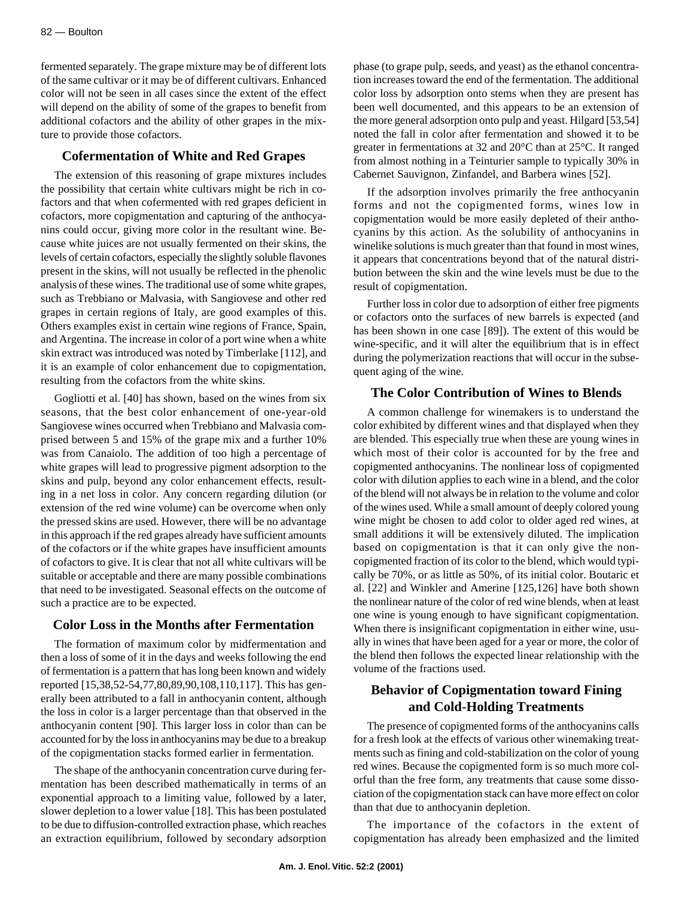fermented separately. The grape mixture may be of different lots of the same cultivar or it may be of different cultivars. Enhanced color will not be seen in all cases since the extent of the effect will depend on the ability of some of the grapes to benefit from additional cofactors and the ability of other grapes in the mixture to provide those cofactors.

## **Cofermentation of White and Red Grapes**

The extension of this reasoning of grape mixtures includes the possibility that certain white cultivars might be rich in cofactors and that when cofermented with red grapes deficient in cofactors, more copigmentation and capturing of the anthocyanins could occur, giving more color in the resultant wine. Because white juices are not usually fermented on their skins, the levels of certain cofactors, especially the slightly soluble flavones present in the skins, will not usually be reflected in the phenolic analysis of these wines. The traditional use of some white grapes, such as Trebbiano or Malvasia, with Sangiovese and other red grapes in certain regions of Italy, are good examples of this. Others examples exist in certain wine regions of France, Spain, and Argentina. The increase in color of a port wine when a white skin extract was introduced was noted by Timberlake [112], and it is an example of color enhancement due to copigmentation, resulting from the cofactors from the white skins.

Gogliotti et al. [40] has shown, based on the wines from six seasons, that the best color enhancement of one-year-old Sangiovese wines occurred when Trebbiano and Malvasia comprised between 5 and 15% of the grape mix and a further 10% was from Canaiolo. The addition of too high a percentage of white grapes will lead to progressive pigment adsorption to the skins and pulp, beyond any color enhancement effects, resulting in a net loss in color. Any concern regarding dilution (or extension of the red wine volume) can be overcome when only the pressed skins are used. However, there will be no advantage in this approach if the red grapes already have sufficient amounts of the cofactors or if the white grapes have insufficient amounts of cofactors to give. It is clear that not all white cultivars will be suitable or acceptable and there are many possible combinations that need to be investigated. Seasonal effects on the outcome of such a practice are to be expected.

## **Color Loss in the Months after Fermentation**

The formation of maximum color by midfermentation and then a loss of some of it in the days and weeks following the end of fermentation is a pattern that has long been known and widely reported [15,38,52-54,77,80,89,90,108,110,117]. This has generally been attributed to a fall in anthocyanin content, although the loss in color is a larger percentage than that observed in the anthocyanin content [90]. This larger loss in color than can be accounted for by the loss in anthocyanins may be due to a breakup of the copigmentation stacks formed earlier in fermentation.

The shape of the anthocyanin concentration curve during fermentation has been described mathematically in terms of an exponential approach to a limiting value, followed by a later, slower depletion to a lower value [18]. This has been postulated to be due to diffusion-controlled extraction phase, which reaches an extraction equilibrium, followed by secondary adsorption

phase (to grape pulp, seeds, and yeast) as the ethanol concentration increases toward the end of the fermentation. The additional color loss by adsorption onto stems when they are present has been well documented, and this appears to be an extension of the more general adsorption onto pulp and yeast. Hilgard [53,54] noted the fall in color after fermentation and showed it to be greater in fermentations at 32 and 20°C than at 25°C. It ranged from almost nothing in a Teinturier sample to typically 30% in Cabernet Sauvignon, Zinfandel, and Barbera wines [52].

If the adsorption involves primarily the free anthocyanin forms and not the copigmented forms, wines low in copigmentation would be more easily depleted of their anthocyanins by this action. As the solubility of anthocyanins in winelike solutions is much greater than that found in most wines, it appears that concentrations beyond that of the natural distribution between the skin and the wine levels must be due to the result of copigmentation.

Further loss in color due to adsorption of either free pigments or cofactors onto the surfaces of new barrels is expected (and has been shown in one case [89]). The extent of this would be wine-specific, and it will alter the equilibrium that is in effect during the polymerization reactions that will occur in the subsequent aging of the wine.

## **The Color Contribution of Wines to Blends**

A common challenge for winemakers is to understand the color exhibited by different wines and that displayed when they are blended. This especially true when these are young wines in which most of their color is accounted for by the free and copigmented anthocyanins. The nonlinear loss of copigmented color with dilution applies to each wine in a blend, and the color of the blend will not always be in relation to the volume and color of the wines used. While a small amount of deeply colored young wine might be chosen to add color to older aged red wines, at small additions it will be extensively diluted. The implication based on copigmentation is that it can only give the noncopigmented fraction of its color to the blend, which would typically be 70%, or as little as 50%, of its initial color. Boutaric et al. [22] and Winkler and Amerine [125,126] have both shown the nonlinear nature of the color of red wine blends, when at least one wine is young enough to have significant copigmentation. When there is insignificant copigmentation in either wine, usually in wines that have been aged for a year or more, the color of the blend then follows the expected linear relationship with the volume of the fractions used.

# **Behavior of Copigmentation toward Fining and Cold-Holding Treatments**

The presence of copigmented forms of the anthocyanins calls for a fresh look at the effects of various other winemaking treatments such as fining and cold-stabilization on the color of young red wines. Because the copigmented form is so much more colorful than the free form, any treatments that cause some dissociation of the copigmentation stack can have more effect on color than that due to anthocyanin depletion.

The importance of the cofactors in the extent of copigmentation has already been emphasized and the limited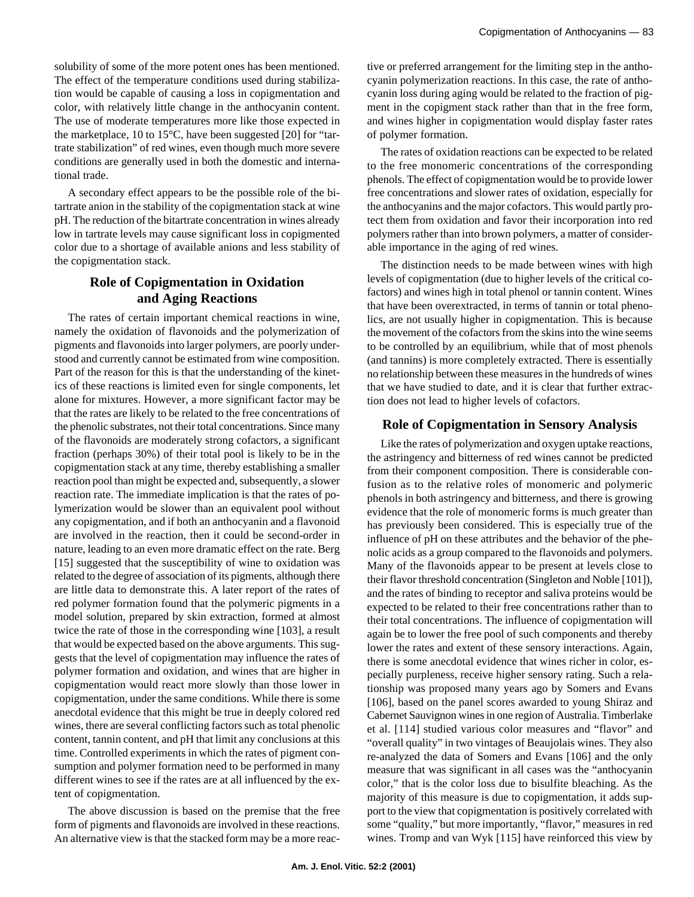solubility of some of the more potent ones has been mentioned. The effect of the temperature conditions used during stabilization would be capable of causing a loss in copigmentation and color, with relatively little change in the anthocyanin content. The use of moderate temperatures more like those expected in the marketplace, 10 to 15°C, have been suggested [20] for "tartrate stabilization" of red wines, even though much more severe conditions are generally used in both the domestic and international trade.

A secondary effect appears to be the possible role of the bitartrate anion in the stability of the copigmentation stack at wine pH. The reduction of the bitartrate concentration in wines already low in tartrate levels may cause significant loss in copigmented color due to a shortage of available anions and less stability of the copigmentation stack.

# **Role of Copigmentation in Oxidation and Aging Reactions**

The rates of certain important chemical reactions in wine, namely the oxidation of flavonoids and the polymerization of pigments and flavonoids into larger polymers, are poorly understood and currently cannot be estimated from wine composition. Part of the reason for this is that the understanding of the kinetics of these reactions is limited even for single components, let alone for mixtures. However, a more significant factor may be that the rates are likely to be related to the free concentrations of the phenolic substrates, not their total concentrations. Since many of the flavonoids are moderately strong cofactors, a significant fraction (perhaps 30%) of their total pool is likely to be in the copigmentation stack at any time, thereby establishing a smaller reaction pool than might be expected and, subsequently, a slower reaction rate. The immediate implication is that the rates of polymerization would be slower than an equivalent pool without any copigmentation, and if both an anthocyanin and a flavonoid are involved in the reaction, then it could be second-order in nature, leading to an even more dramatic effect on the rate. Berg [15] suggested that the susceptibility of wine to oxidation was related to the degree of association of its pigments, although there are little data to demonstrate this. A later report of the rates of red polymer formation found that the polymeric pigments in a model solution, prepared by skin extraction, formed at almost twice the rate of those in the corresponding wine [103], a result that would be expected based on the above arguments. This suggests that the level of copigmentation may influence the rates of polymer formation and oxidation, and wines that are higher in copigmentation would react more slowly than those lower in copigmentation, under the same conditions. While there is some anecdotal evidence that this might be true in deeply colored red wines, there are several conflicting factors such as total phenolic content, tannin content, and pH that limit any conclusions at this time. Controlled experiments in which the rates of pigment consumption and polymer formation need to be performed in many different wines to see if the rates are at all influenced by the extent of copigmentation.

The above discussion is based on the premise that the free form of pigments and flavonoids are involved in these reactions. An alternative view is that the stacked form may be a more reactive or preferred arrangement for the limiting step in the anthocyanin polymerization reactions. In this case, the rate of anthocyanin loss during aging would be related to the fraction of pigment in the copigment stack rather than that in the free form, and wines higher in copigmentation would display faster rates of polymer formation.

The rates of oxidation reactions can be expected to be related to the free monomeric concentrations of the corresponding phenols. The effect of copigmentation would be to provide lower free concentrations and slower rates of oxidation, especially for the anthocyanins and the major cofactors. This would partly protect them from oxidation and favor their incorporation into red polymers rather than into brown polymers, a matter of considerable importance in the aging of red wines.

The distinction needs to be made between wines with high levels of copigmentation (due to higher levels of the critical cofactors) and wines high in total phenol or tannin content. Wines that have been overextracted, in terms of tannin or total phenolics, are not usually higher in copigmentation. This is because the movement of the cofactors from the skins into the wine seems to be controlled by an equilibrium, while that of most phenols (and tannins) is more completely extracted. There is essentially no relationship between these measures in the hundreds of wines that we have studied to date, and it is clear that further extraction does not lead to higher levels of cofactors.

# **Role of Copigmentation in Sensory Analysis**

Like the rates of polymerization and oxygen uptake reactions, the astringency and bitterness of red wines cannot be predicted from their component composition. There is considerable confusion as to the relative roles of monomeric and polymeric phenols in both astringency and bitterness, and there is growing evidence that the role of monomeric forms is much greater than has previously been considered. This is especially true of the influence of pH on these attributes and the behavior of the phenolic acids as a group compared to the flavonoids and polymers. Many of the flavonoids appear to be present at levels close to their flavor threshold concentration (Singleton and Noble [101]), and the rates of binding to receptor and saliva proteins would be expected to be related to their free concentrations rather than to their total concentrations. The influence of copigmentation will again be to lower the free pool of such components and thereby lower the rates and extent of these sensory interactions. Again, there is some anecdotal evidence that wines richer in color, especially purpleness, receive higher sensory rating. Such a relationship was proposed many years ago by Somers and Evans [106], based on the panel scores awarded to young Shiraz and Cabernet Sauvignon wines in one region of Australia. Timberlake et al. [114] studied various color measures and "flavor" and "overall quality" in two vintages of Beaujolais wines. They also re-analyzed the data of Somers and Evans [106] and the only measure that was significant in all cases was the "anthocyanin color," that is the color loss due to bisulfite bleaching. As the majority of this measure is due to copigmentation, it adds support to the view that copigmentation is positively correlated with some "quality," but more importantly, "flavor," measures in red wines. Tromp and van Wyk [115] have reinforced this view by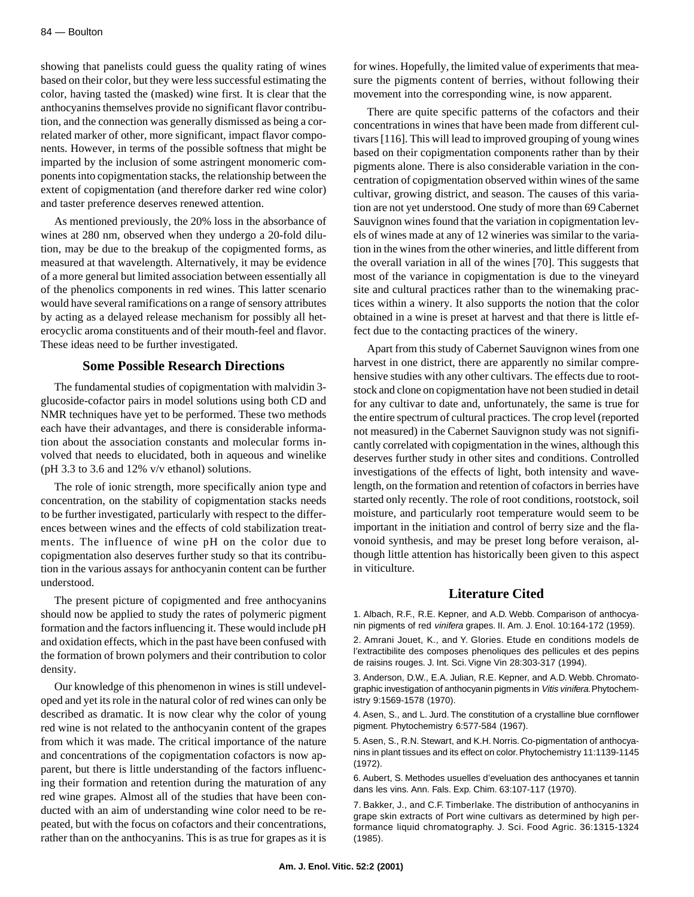showing that panelists could guess the quality rating of wines based on their color, but they were less successful estimating the color, having tasted the (masked) wine first. It is clear that the anthocyanins themselves provide no significant flavor contribution, and the connection was generally dismissed as being a correlated marker of other, more significant, impact flavor components. However, in terms of the possible softness that might be imparted by the inclusion of some astringent monomeric components into copigmentation stacks, the relationship between the extent of copigmentation (and therefore darker red wine color) and taster preference deserves renewed attention.

As mentioned previously, the 20% loss in the absorbance of wines at 280 nm, observed when they undergo a 20-fold dilution, may be due to the breakup of the copigmented forms, as measured at that wavelength. Alternatively, it may be evidence of a more general but limited association between essentially all of the phenolics components in red wines. This latter scenario would have several ramifications on a range of sensory attributes by acting as a delayed release mechanism for possibly all heterocyclic aroma constituents and of their mouth-feel and flavor. These ideas need to be further investigated.

#### **Some Possible Research Directions**

The fundamental studies of copigmentation with malvidin 3 glucoside-cofactor pairs in model solutions using both CD and NMR techniques have yet to be performed. These two methods each have their advantages, and there is considerable information about the association constants and molecular forms involved that needs to elucidated, both in aqueous and winelike (pH 3.3 to 3.6 and 12% v/v ethanol) solutions.

The role of ionic strength, more specifically anion type and concentration, on the stability of copigmentation stacks needs to be further investigated, particularly with respect to the differences between wines and the effects of cold stabilization treatments. The influence of wine pH on the color due to copigmentation also deserves further study so that its contribution in the various assays for anthocyanin content can be further understood.

The present picture of copigmented and free anthocyanins should now be applied to study the rates of polymeric pigment formation and the factors influencing it. These would include pH and oxidation effects, which in the past have been confused with the formation of brown polymers and their contribution to color density.

Our knowledge of this phenomenon in wines is still undeveloped and yet its role in the natural color of red wines can only be described as dramatic. It is now clear why the color of young red wine is not related to the anthocyanin content of the grapes from which it was made. The critical importance of the nature and concentrations of the copigmentation cofactors is now apparent, but there is little understanding of the factors influencing their formation and retention during the maturation of any red wine grapes. Almost all of the studies that have been conducted with an aim of understanding wine color need to be repeated, but with the focus on cofactors and their concentrations, rather than on the anthocyanins. This is as true for grapes as it is for wines. Hopefully, the limited value of experiments that measure the pigments content of berries, without following their movement into the corresponding wine, is now apparent.

There are quite specific patterns of the cofactors and their concentrations in wines that have been made from different cultivars [116]. This will lead to improved grouping of young wines based on their copigmentation components rather than by their pigments alone. There is also considerable variation in the concentration of copigmentation observed within wines of the same cultivar, growing district, and season. The causes of this variation are not yet understood. One study of more than 69 Cabernet Sauvignon wines found that the variation in copigmentation levels of wines made at any of 12 wineries was similar to the variation in the wines from the other wineries, and little different from the overall variation in all of the wines [70]. This suggests that most of the variance in copigmentation is due to the vineyard site and cultural practices rather than to the winemaking practices within a winery. It also supports the notion that the color obtained in a wine is preset at harvest and that there is little effect due to the contacting practices of the winery.

Apart from this study of Cabernet Sauvignon wines from one harvest in one district, there are apparently no similar comprehensive studies with any other cultivars. The effects due to rootstock and clone on copigmentation have not been studied in detail for any cultivar to date and, unfortunately, the same is true for the entire spectrum of cultural practices. The crop level (reported not measured) in the Cabernet Sauvignon study was not significantly correlated with copigmentation in the wines, although this deserves further study in other sites and conditions. Controlled investigations of the effects of light, both intensity and wavelength, on the formation and retention of cofactors in berries have started only recently. The role of root conditions, rootstock, soil moisture, and particularly root temperature would seem to be important in the initiation and control of berry size and the flavonoid synthesis, and may be preset long before veraison, although little attention has historically been given to this aspect in viticulture.

#### **Literature Cited**

1. Albach, R.F., R.E. Kepner, and A.D. Webb. Comparison of anthocyanin pigments of red vinifera grapes. II. Am. J. Enol. 10:164-172 (1959).

2. Amrani Jouet, K., and Y. Glories. Etude en conditions models de l'extractibilite des composes phenoliques des pellicules et des pepins de raisins rouges. J. Int. Sci. Vigne Vin 28:303-317 (1994).

3. Anderson, D.W., E.A. Julian, R.E. Kepner, and A.D. Webb. Chromatographic investigation of anthocyanin pigments in Vitis vinifera. Phytochemistry 9:1569-1578 (1970).

4. Asen, S., and L. Jurd. The constitution of a crystalline blue cornflower pigment. Phytochemistry 6:577-584 (1967).

5. Asen, S., R.N. Stewart, and K.H. Norris. Co-pigmentation of anthocyanins in plant tissues and its effect on color. Phytochemistry 11:1139-1145 (1972).

6. Aubert, S. Methodes usuelles d'eveluation des anthocyanes et tannin dans les vins. Ann. Fals. Exp. Chim. 63:107-117 (1970).

7. Bakker, J., and C.F. Timberlake. The distribution of anthocyanins in grape skin extracts of Port wine cultivars as determined by high performance liquid chromatography. J. Sci. Food Agric. 36:1315-1324 (1985).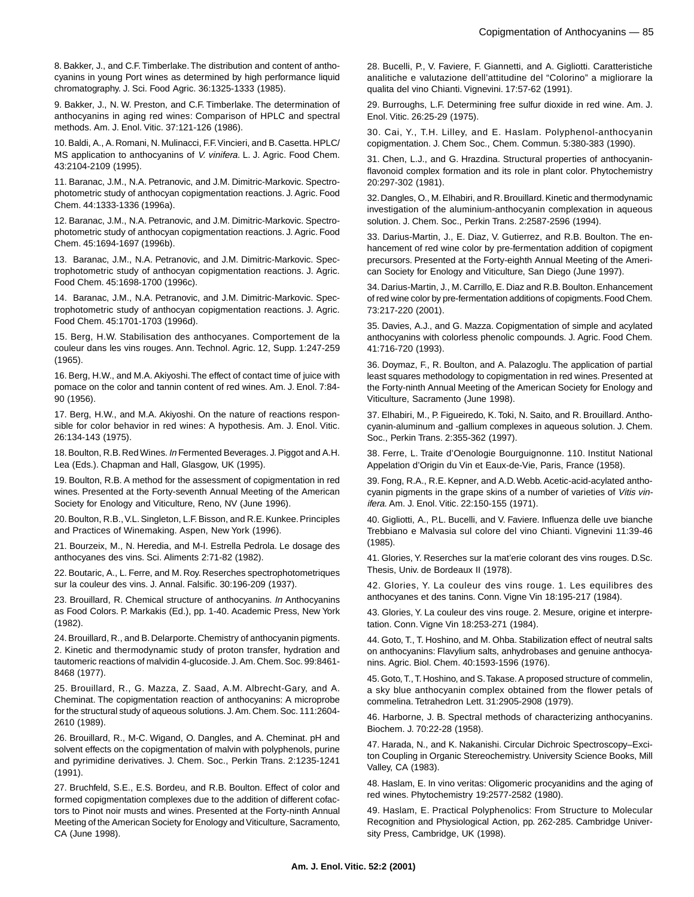8. Bakker, J., and C.F. Timberlake. The distribution and content of anthocyanins in young Port wines as determined by high performance liquid chromatography. J. Sci. Food Agric. 36:1325-1333 (1985).

9. Bakker, J., N. W. Preston, and C.F. Timberlake. The determination of anthocyanins in aging red wines: Comparison of HPLC and spectral methods. Am. J. Enol. Vitic. 37:121-126 (1986).

10. Baldi, A., A. Romani, N. Mulinacci, F.F. Vincieri, and B. Casetta. HPLC/ MS application to anthocyanins of V. vinifera. L. J. Agric. Food Chem. 43:2104-2109 (1995).

11. Baranac, J.M., N.A. Petranovic, and J.M. Dimitric-Markovic. Spectrophotometric study of anthocyan copigmentation reactions. J. Agric. Food Chem. 44:1333-1336 (1996a).

12. Baranac, J.M., N.A. Petranovic, and J.M. Dimitric-Markovic. Spectrophotometric study of anthocyan copigmentation reactions. J. Agric. Food Chem. 45:1694-1697 (1996b).

13. Baranac, J.M., N.A. Petranovic, and J.M. Dimitric-Markovic. Spectrophotometric study of anthocyan copigmentation reactions. J. Agric. Food Chem. 45:1698-1700 (1996c).

14. Baranac, J.M., N.A. Petranovic, and J.M. Dimitric-Markovic. Spectrophotometric study of anthocyan copigmentation reactions. J. Agric. Food Chem. 45:1701-1703 (1996d).

15. Berg, H.W. Stabilisation des anthocyanes. Comportement de la couleur dans les vins rouges. Ann. Technol. Agric. 12, Supp. 1:247-259 (1965).

16. Berg, H.W., and M.A. Akiyoshi. The effect of contact time of juice with pomace on the color and tannin content of red wines. Am. J. Enol. 7:84- 90 (1956).

17. Berg, H.W., and M.A. Akiyoshi. On the nature of reactions responsible for color behavior in red wines: A hypothesis. Am. J. Enol. Vitic. 26:134-143 (1975).

18. Boulton, R.B. Red Wines. In Fermented Beverages. J. Piggot and A.H. Lea (Eds.). Chapman and Hall, Glasgow, UK (1995).

19. Boulton, R.B. A method for the assessment of copigmentation in red wines. Presented at the Forty-seventh Annual Meeting of the American Society for Enology and Viticulture, Reno, NV (June 1996).

20. Boulton, R.B., V.L. Singleton, L.F. Bisson, and R.E. Kunkee. Principles and Practices of Winemaking. Aspen, New York (1996).

21. Bourzeix, M., N. Heredia, and M-I. Estrella Pedrola. Le dosage des anthocyanes des vins. Sci. Aliments 2:71-82 (1982).

22. Boutaric, A., L. Ferre, and M. Roy. Reserches spectrophotometriques sur la couleur des vins. J. Annal. Falsific. 30:196-209 (1937).

23. Brouillard, R. Chemical structure of anthocyanins. In Anthocyanins as Food Colors. P. Markakis (Ed.), pp. 1-40. Academic Press, New York (1982).

24. Brouillard, R., and B. Delarporte. Chemistry of anthocyanin pigments. 2. Kinetic and thermodynamic study of proton transfer, hydration and tautomeric reactions of malvidin 4-glucoside. J. Am. Chem. Soc. 99:8461- 8468 (1977).

25. Brouillard, R., G. Mazza, Z. Saad, A.M. Albrecht-Gary, and A. Cheminat. The copigmentation reaction of anthocyanins: A microprobe for the structural study of aqueous solutions. J. Am. Chem. Soc. 111:2604- 2610 (1989).

26. Brouillard, R., M-C. Wigand, O. Dangles, and A. Cheminat. pH and solvent effects on the copigmentation of malvin with polyphenols, purine and pyrimidine derivatives. J. Chem. Soc., Perkin Trans. 2:1235-1241 (1991).

27. Bruchfeld, S.E., E.S. Bordeu, and R.B. Boulton. Effect of color and formed copigmentation complexes due to the addition of different cofactors to Pinot noir musts and wines. Presented at the Forty-ninth Annual Meeting of the American Society for Enology and Viticulture, Sacramento, CA (June 1998).

28. Bucelli, P., V. Faviere, F. Giannetti, and A. Gigliotti. Caratteristiche analitiche e valutazione dell'attitudine del "Colorino" a migliorare la qualita del vino Chianti. Vignevini. 17:57-62 (1991).

29. Burroughs, L.F. Determining free sulfur dioxide in red wine. Am. J. Enol. Vitic. 26:25-29 (1975).

30. Cai, Y., T.H. Lilley, and E. Haslam. Polyphenol-anthocyanin copigmentation. J. Chem Soc., Chem. Commun. 5:380-383 (1990).

31. Chen, L.J., and G. Hrazdina. Structural properties of anthocyaninflavonoid complex formation and its role in plant color. Phytochemistry 20:297-302 (1981).

32. Dangles, O., M. Elhabiri, and R. Brouillard. Kinetic and thermodynamic investigation of the aluminium-anthocyanin complexation in aqueous solution. J. Chem. Soc., Perkin Trans. 2:2587-2596 (1994).

33. Darius-Martin, J., E. Diaz, V. Gutierrez, and R.B. Boulton. The enhancement of red wine color by pre-fermentation addition of copigment precursors. Presented at the Forty-eighth Annual Meeting of the American Society for Enology and Viticulture, San Diego (June 1997).

34. Darius-Martin, J., M. Carrillo, E. Diaz and R.B. Boulton. Enhancement of red wine color by pre-fermentation additions of copigments. Food Chem. 73:217-220 (2001).

35. Davies, A.J., and G. Mazza. Copigmentation of simple and acylated anthocyanins with colorless phenolic compounds. J. Agric. Food Chem. 41:716-720 (1993).

36. Doymaz, F., R. Boulton, and A. Palazoglu. The application of partial least squares methodology to copigmentation in red wines. Presented at the Forty-ninth Annual Meeting of the American Society for Enology and Viticulture, Sacramento (June 1998).

37. Elhabiri, M., P. Figueiredo, K. Toki, N. Saito, and R. Brouillard. Anthocyanin-aluminum and -gallium complexes in aqueous solution. J. Chem. Soc., Perkin Trans. 2:355-362 (1997).

38. Ferre, L. Traite d'Oenologie Bourguignonne. 110. Institut National Appelation d'Origin du Vin et Eaux-de-Vie, Paris, France (1958).

39. Fong, R.A., R.E. Kepner, and A.D. Webb. Acetic-acid-acylated anthocyanin pigments in the grape skins of a number of varieties of Vitis vinifera. Am. J. Enol. Vitic. 22:150-155 (1971).

40. Gigliotti, A., P.L. Bucelli, and V. Faviere. Influenza delle uve bianche Trebbiano e Malvasia sul colore del vino Chianti. Vignevini 11:39-46 (1985).

41. Glories, Y. Reserches sur la mat'erie colorant des vins rouges. D.Sc. Thesis, Univ. de Bordeaux II (1978).

42. Glories, Y. La couleur des vins rouge. 1. Les equilibres des anthocyanes et des tanins. Conn. Vigne Vin 18:195-217 (1984).

43. Glories, Y. La couleur des vins rouge. 2. Mesure, origine et interpretation. Conn. Vigne Vin 18:253-271 (1984).

44. Goto, T., T. Hoshino, and M. Ohba. Stabilization effect of neutral salts on anthocyanins: Flavylium salts, anhydrobases and genuine anthocyanins. Agric. Biol. Chem. 40:1593-1596 (1976).

45. Goto, T., T. Hoshino, and S. Takase. A proposed structure of commelin, a sky blue anthocyanin complex obtained from the flower petals of commelina. Tetrahedron Lett. 31:2905-2908 (1979).

46. Harborne, J. B. Spectral methods of characterizing anthocyanins. Biochem. J. 70:22-28 (1958).

47. Harada, N., and K. Nakanishi. Circular Dichroic Spectroscopy–Exciton Coupling in Organic Stereochemistry. University Science Books, Mill Valley, CA (1983).

48. Haslam, E. In vino veritas: Oligomeric procyanidins and the aging of red wines. Phytochemistry 19:2577-2582 (1980).

49. Haslam, E. Practical Polyphenolics: From Structure to Molecular Recognition and Physiological Action, pp. 262-285. Cambridge University Press, Cambridge, UK (1998).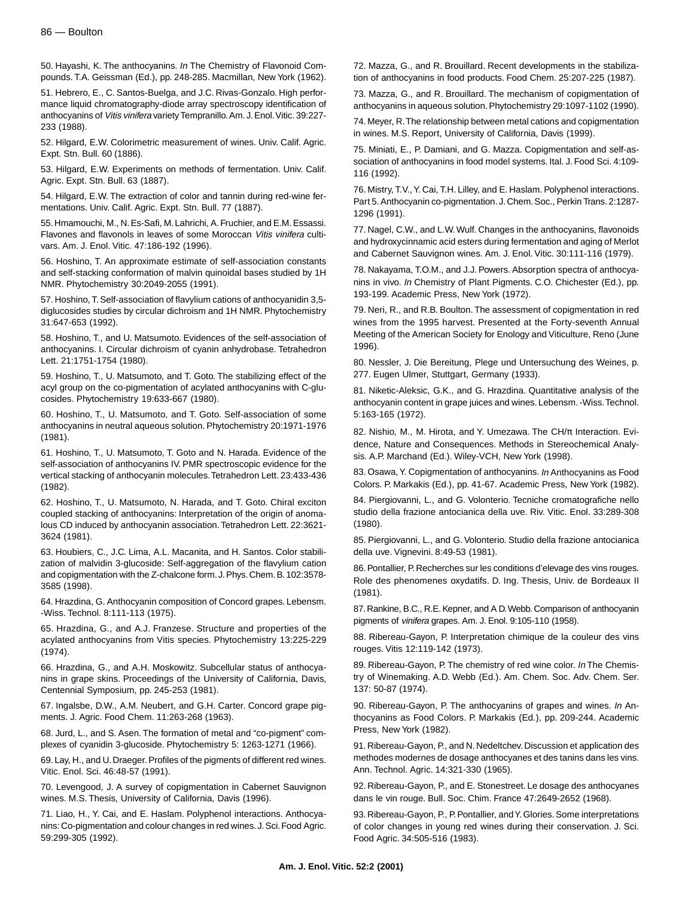50. Hayashi, K. The anthocyanins. In The Chemistry of Flavonoid Compounds. T.A. Geissman (Ed.), pp. 248-285. Macmillan, New York (1962).

51. Hebrero, E., C. Santos-Buelga, and J.C. Rivas-Gonzalo. High performance liquid chromatography-diode array spectroscopy identification of anthocyanins of Vitis vinifera variety Tempranillo. Am. J. Enol. Vitic. 39:227- 233 (1988).

52. Hilgard, E.W. Colorimetric measurement of wines. Univ. Calif. Agric. Expt. Stn. Bull. 60 (1886).

53. Hilgard, E.W. Experiments on methods of fermentation. Univ. Calif. Agric. Expt. Stn. Bull. 63 (1887).

54. Hilgard, E.W. The extraction of color and tannin during red-wine fermentations. Univ. Calif. Agric. Expt. Stn. Bull. 77 (1887).

55. Hmamouchi, M., N. Es-Safi, M. Lahrichi, A. Fruchier, and E.M. Essassi. Flavones and flavonols in leaves of some Moroccan Vitis vinifera cultivars. Am. J. Enol. Vitic. 47:186-192 (1996).

56. Hoshino, T. An approximate estimate of self-association constants and self-stacking conformation of malvin quinoidal bases studied by 1H NMR. Phytochemistry 30:2049-2055 (1991).

57. Hoshino, T. Self-association of flavylium cations of anthocyanidin 3,5 diglucosides studies by circular dichroism and 1H NMR. Phytochemistry 31:647-653 (1992).

58. Hoshino, T., and U. Matsumoto. Evidences of the self-association of anthocyanins. I. Circular dichroism of cyanin anhydrobase. Tetrahedron Lett. 21:1751-1754 (1980).

59. Hoshino, T., U. Matsumoto, and T. Goto. The stabilizing effect of the acyl group on the co-pigmentation of acylated anthocyanins with C-glucosides. Phytochemistry 19:633-667 (1980).

60. Hoshino, T., U. Matsumoto, and T. Goto. Self-association of some anthocyanins in neutral aqueous solution. Phytochemistry 20:1971-1976 (1981).

61. Hoshino, T., U. Matsumoto, T. Goto and N. Harada. Evidence of the self-association of anthocyanins IV. PMR spectroscopic evidence for the vertical stacking of anthocyanin molecules. Tetrahedron Lett. 23:433-436 (1982).

62. Hoshino, T., U. Matsumoto, N. Harada, and T. Goto. Chiral exciton coupled stacking of anthocyanins: Interpretation of the origin of anomalous CD induced by anthocyanin association. Tetrahedron Lett. 22:3621- 3624 (1981).

63. Houbiers, C., J.C. Lima, A.L. Macanita, and H. Santos. Color stabilization of malvidin 3-glucoside: Self-aggregation of the flavylium cation and copigmentation with the Z-chalcone form. J. Phys. Chem. B. 102:3578- 3585 (1998).

64. Hrazdina, G. Anthocyanin composition of Concord grapes. Lebensm. -Wiss. Technol. 8:111-113 (1975).

65. Hrazdina, G., and A.J. Franzese. Structure and properties of the acylated anthocyanins from Vitis species. Phytochemistry 13:225-229 (1974).

66. Hrazdina, G., and A.H. Moskowitz. Subcellular status of anthocyanins in grape skins. Proceedings of the University of California, Davis, Centennial Symposium, pp. 245-253 (1981).

67. Ingalsbe, D.W., A.M. Neubert, and G.H. Carter. Concord grape pigments. J. Agric. Food Chem. 11:263-268 (1963).

68. Jurd, L., and S. Asen. The formation of metal and "co-pigment" complexes of cyanidin 3-glucoside. Phytochemistry 5: 1263-1271 (1966).

69. Lay, H., and U. Draeger. Profiles of the pigments of different red wines. Vitic. Enol. Sci. 46:48-57 (1991).

70. Levengood, J. A survey of copigmentation in Cabernet Sauvignon wines. M.S. Thesis, University of California, Davis (1996).

71. Liao, H., Y. Cai, and E. Haslam. Polyphenol interactions. Anthocyanins: Co-pigmentation and colour changes in red wines. J. Sci. Food Agric. 59:299-305 (1992).

72. Mazza, G., and R. Brouillard. Recent developments in the stabilization of anthocyanins in food products. Food Chem. 25:207-225 (1987).

73. Mazza, G., and R. Brouillard. The mechanism of copigmentation of anthocyanins in aqueous solution. Phytochemistry 29:1097-1102 (1990).

74. Meyer, R. The relationship between metal cations and copigmentation in wines. M.S. Report, University of California, Davis (1999).

75. Miniati, E., P. Damiani, and G. Mazza. Copigmentation and self-association of anthocyanins in food model systems. Ital. J. Food Sci. 4:109- 116 (1992).

76. Mistry, T.V., Y. Cai, T.H. Lilley, and E. Haslam. Polyphenol interactions. Part 5. Anthocyanin co-pigmentation. J. Chem. Soc., Perkin Trans. 2:1287- 1296 (1991).

77. Nagel, C.W., and L.W. Wulf. Changes in the anthocyanins, flavonoids and hydroxycinnamic acid esters during fermentation and aging of Merlot and Cabernet Sauvignon wines. Am. J. Enol. Vitic. 30:111-116 (1979).

78. Nakayama, T.O.M., and J.J. Powers. Absorption spectra of anthocyanins in vivo. In Chemistry of Plant Pigments. C.O. Chichester (Ed.), pp. 193-199. Academic Press, New York (1972).

79. Neri, R., and R.B. Boulton. The assessment of copigmentation in red wines from the 1995 harvest. Presented at the Forty-seventh Annual Meeting of the American Society for Enology and Viticulture, Reno (June 1996).

80. Nessler, J. Die Bereitung, Plege und Untersuchung des Weines, p. 277. Eugen Ulmer, Stuttgart, Germany (1933).

81. Niketic-Aleksic, G.K., and G. Hrazdina. Quantitative analysis of the anthocyanin content in grape juices and wines. Lebensm. -Wiss. Technol. 5:163-165 (1972).

82. Nishio, M., M. Hirota, and Y. Umezawa. The CH/π Interaction. Evidence, Nature and Consequences. Methods in Stereochemical Analysis. A.P. Marchand (Ed.). Wiley-VCH, New York (1998).

83. Osawa, Y. Copigmentation of anthocyanins. In Anthocyanins as Food Colors. P. Markakis (Ed.), pp. 41-67. Academic Press, New York (1982).

84. Piergiovanni, L., and G. Volonterio. Tecniche cromatografiche nello studio della frazione antocianica della uve. Riv. Vitic. Enol. 33:289-308 (1980).

85. Piergiovanni, L., and G. Volonterio. Studio della frazione antocianica della uve. Vignevini. 8:49-53 (1981).

86. Pontallier, P. Recherches sur les conditions d'elevage des vins rouges. Role des phenomenes oxydatifs. D. Ing. Thesis, Univ. de Bordeaux II (1981).

87. Rankine, B.C., R.E. Kepner, and A D. Webb. Comparison of anthocyanin pigments of vinifera grapes. Am. J. Enol. 9:105-110 (1958).

88. Ribereau-Gayon, P. Interpretation chimique de la couleur des vins rouges. Vitis 12:119-142 (1973).

89. Ribereau-Gayon, P. The chemistry of red wine color. In The Chemistry of Winemaking. A.D. Webb (Ed.). Am. Chem. Soc. Adv. Chem. Ser. 137: 50-87 (1974).

90. Ribereau-Gayon, P. The anthocyanins of grapes and wines. In Anthocyanins as Food Colors. P. Markakis (Ed.), pp. 209-244. Academic Press, New York (1982).

91. Ribereau-Gayon, P., and N. Nedeltchev. Discussion et application des methodes modernes de dosage anthocyanes et des tanins dans les vins. Ann. Technol. Agric. 14:321-330 (1965).

92. Ribereau-Gayon, P., and E. Stonestreet. Le dosage des anthocyanes dans le vin rouge. Bull. Soc. Chim. France 47:2649-2652 (1968).

93. Ribereau-Gayon, P., P. Pontallier, and Y. Glories. Some interpretations of color changes in young red wines during their conservation. J. Sci. Food Agric. 34:505-516 (1983).